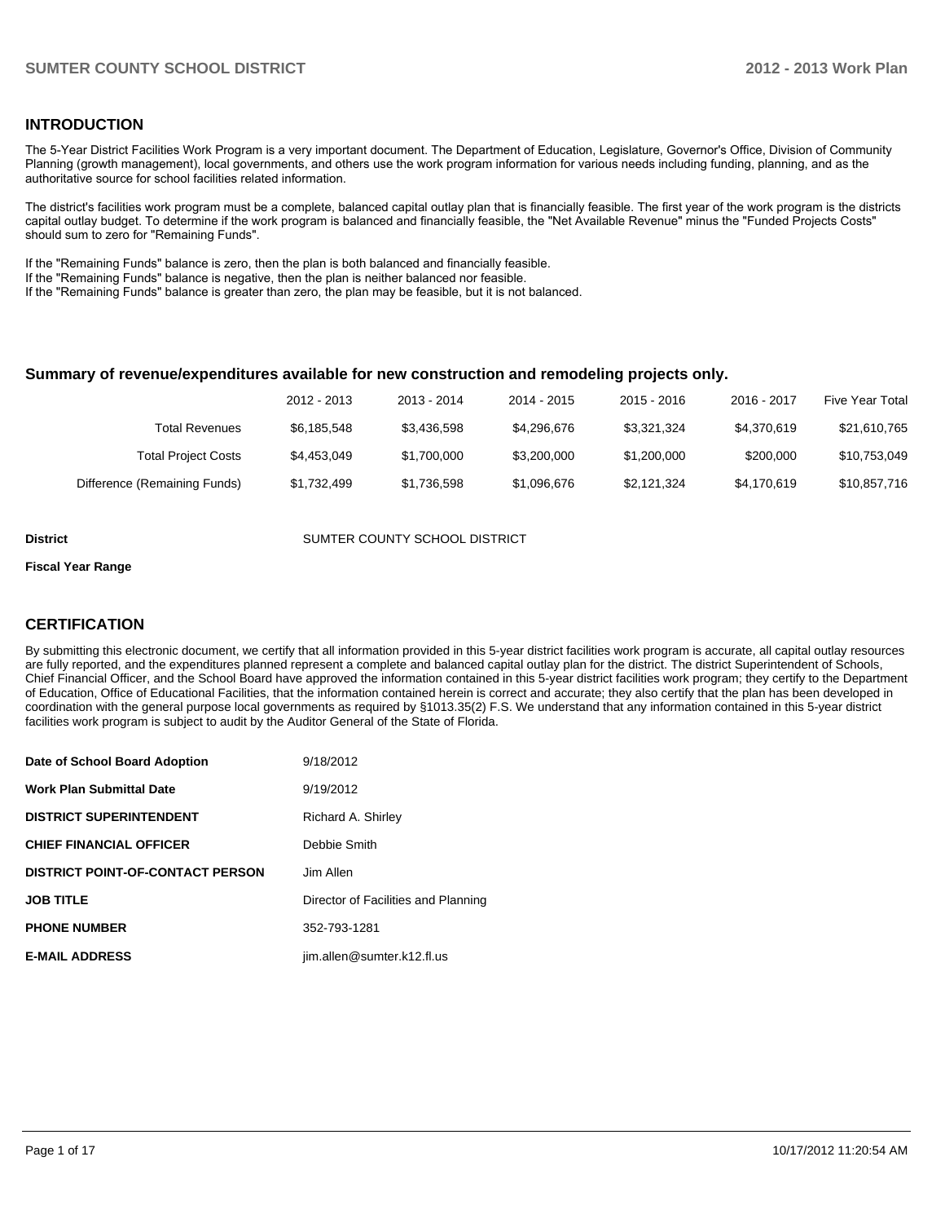## **INTRODUCTION**

The 5-Year District Facilities Work Program is a very important document. The Department of Education, Legislature, Governor's Office, Division of Community Planning (growth management), local governments, and others use the work program information for various needs including funding, planning, and as the authoritative source for school facilities related information.

The district's facilities work program must be a complete, balanced capital outlay plan that is financially feasible. The first year of the work program is the districts capital outlay budget. To determine if the work program is balanced and financially feasible, the "Net Available Revenue" minus the "Funded Projects Costs" should sum to zero for "Remaining Funds".

If the "Remaining Funds" balance is zero, then the plan is both balanced and financially feasible.

If the "Remaining Funds" balance is negative, then the plan is neither balanced nor feasible.

If the "Remaining Funds" balance is greater than zero, the plan may be feasible, but it is not balanced.

### **Summary of revenue/expenditures available for new construction and remodeling projects only.**

|                              | 2012 - 2013 | 2013 - 2014 | 2014 - 2015 | $2015 - 2016$ | 2016 - 2017 | <b>Five Year Total</b> |
|------------------------------|-------------|-------------|-------------|---------------|-------------|------------------------|
| Total Revenues               | \$6.185.548 | \$3.436.598 | \$4.296.676 | \$3.321.324   | \$4,370,619 | \$21,610,765           |
| <b>Total Project Costs</b>   | \$4,453,049 | \$1,700,000 | \$3,200,000 | \$1,200,000   | \$200,000   | \$10,753,049           |
| Difference (Remaining Funds) | \$1,732,499 | \$1,736,598 | \$1,096,676 | \$2,121,324   | \$4,170,619 | \$10,857,716           |

**District COUNTER COUNTY SCHOOL DISTRICT** 

#### **Fiscal Year Range**

## **CERTIFICATION**

By submitting this electronic document, we certify that all information provided in this 5-year district facilities work program is accurate, all capital outlay resources are fully reported, and the expenditures planned represent a complete and balanced capital outlay plan for the district. The district Superintendent of Schools, Chief Financial Officer, and the School Board have approved the information contained in this 5-year district facilities work program; they certify to the Department of Education, Office of Educational Facilities, that the information contained herein is correct and accurate; they also certify that the plan has been developed in coordination with the general purpose local governments as required by §1013.35(2) F.S. We understand that any information contained in this 5-year district facilities work program is subject to audit by the Auditor General of the State of Florida.

| Date of School Board Adoption           | 9/18/2012                           |
|-----------------------------------------|-------------------------------------|
| <b>Work Plan Submittal Date</b>         | 9/19/2012                           |
| <b>DISTRICT SUPERINTENDENT</b>          | Richard A. Shirley                  |
| <b>CHIEF FINANCIAL OFFICER</b>          | Debbie Smith                        |
| <b>DISTRICT POINT-OF-CONTACT PERSON</b> | Jim Allen                           |
| <b>JOB TITLE</b>                        | Director of Facilities and Planning |
| <b>PHONE NUMBER</b>                     | 352-793-1281                        |
| <b>E-MAIL ADDRESS</b>                   | jim.allen@sumter.k12.fl.us          |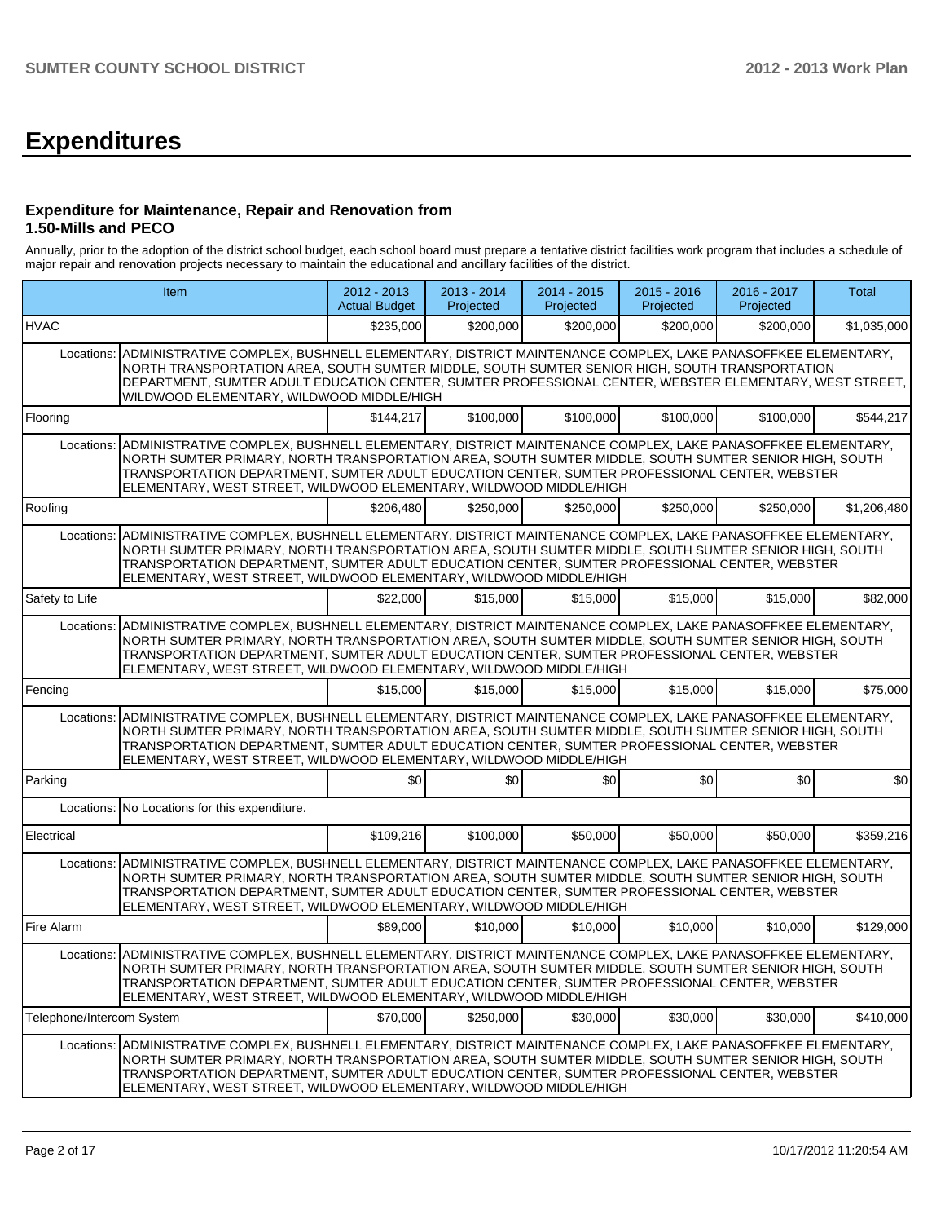## **Expenditures**

## **Expenditure for Maintenance, Repair and Renovation from 1.50-Mills and PECO**

Annually, prior to the adoption of the district school budget, each school board must prepare a tentative district facilities work program that includes a schedule of major repair and renovation projects necessary to maintain the educational and ancillary facilities of the district.

| Item                      |                                                                                                                                                                                                                                                                                                                                                                                         | 2012 - 2013<br><b>Actual Budget</b> | $2013 - 2014$<br>Projected | 2014 - 2015<br>Projected | $2015 - 2016$<br>Projected | 2016 - 2017<br>Projected | Total       |  |  |  |  |
|---------------------------|-----------------------------------------------------------------------------------------------------------------------------------------------------------------------------------------------------------------------------------------------------------------------------------------------------------------------------------------------------------------------------------------|-------------------------------------|----------------------------|--------------------------|----------------------------|--------------------------|-------------|--|--|--|--|
| <b>HVAC</b>               |                                                                                                                                                                                                                                                                                                                                                                                         | \$235,000                           | \$200,000                  | \$200,000                | \$200,000                  | \$200,000                | \$1,035,000 |  |  |  |  |
| Locations:                | ADMINISTRATIVE COMPLEX, BUSHNELL ELEMENTARY, DISTRICT MAINTENANCE COMPLEX, LAKE PANASOFFKEE ELEMENTARY,<br>NORTH TRANSPORTATION AREA, SOUTH SUMTER MIDDLE, SOUTH SUMTER SENIOR HIGH, SOUTH TRANSPORTATION<br>DEPARTMENT, SUMTER ADULT EDUCATION CENTER, SUMTER PROFESSIONAL CENTER, WEBSTER ELEMENTARY, WEST STREET,<br>WILDWOOD ELEMENTARY, WILDWOOD MIDDLE/HIGH                       |                                     |                            |                          |                            |                          |             |  |  |  |  |
| Flooring                  |                                                                                                                                                                                                                                                                                                                                                                                         | \$144,217                           | \$100,000                  | \$100,000                | \$100,000                  | \$100,000                | \$544,217   |  |  |  |  |
| Locations:                | ADMINISTRATIVE COMPLEX, BUSHNELL ELEMENTARY, DISTRICT MAINTENANCE COMPLEX, LAKE PANASOFFKEE ELEMENTARY,<br>NORTH SUMTER PRIMARY, NORTH TRANSPORTATION AREA, SOUTH SUMTER MIDDLE, SOUTH SUMTER SENIOR HIGH, SOUTH<br>TRANSPORTATION DEPARTMENT, SUMTER ADULT EDUCATION CENTER, SUMTER PROFESSIONAL CENTER, WEBSTER<br>ELEMENTARY, WEST STREET, WILDWOOD ELEMENTARY, WILDWOOD MIDDLE/HIGH |                                     |                            |                          |                            |                          |             |  |  |  |  |
| Roofing                   |                                                                                                                                                                                                                                                                                                                                                                                         | \$206,480                           | \$250,000                  | \$250,000                | \$250,000                  | \$250,000                | \$1,206,480 |  |  |  |  |
| Locations:                | ADMINISTRATIVE COMPLEX, BUSHNELL ELEMENTARY, DISTRICT MAINTENANCE COMPLEX, LAKE PANASOFFKEE ELEMENTARY,<br>NORTH SUMTER PRIMARY, NORTH TRANSPORTATION AREA, SOUTH SUMTER MIDDLE, SOUTH SUMTER SENIOR HIGH, SOUTH<br>TRANSPORTATION DEPARTMENT, SUMTER ADULT EDUCATION CENTER, SUMTER PROFESSIONAL CENTER, WEBSTER<br>ELEMENTARY, WEST STREET, WILDWOOD ELEMENTARY, WILDWOOD MIDDLE/HIGH |                                     |                            |                          |                            |                          |             |  |  |  |  |
| Safety to Life            |                                                                                                                                                                                                                                                                                                                                                                                         | \$22,000                            | \$15,000                   | \$15,000                 | \$15,000                   | \$15,000                 | \$82,000    |  |  |  |  |
| Locations:                | ADMINISTRATIVE COMPLEX, BUSHNELL ELEMENTARY, DISTRICT MAINTENANCE COMPLEX, LAKE PANASOFFKEE ELEMENTARY,<br>NORTH SUMTER PRIMARY, NORTH TRANSPORTATION AREA, SOUTH SUMTER MIDDLE, SOUTH SUMTER SENIOR HIGH, SOUTH<br>TRANSPORTATION DEPARTMENT, SUMTER ADULT EDUCATION CENTER, SUMTER PROFESSIONAL CENTER, WEBSTER<br>ELEMENTARY, WEST STREET, WILDWOOD ELEMENTARY, WILDWOOD MIDDLE/HIGH |                                     |                            |                          |                            |                          |             |  |  |  |  |
| Fencing                   |                                                                                                                                                                                                                                                                                                                                                                                         | \$15,000                            | \$15,000                   | \$15,000                 | \$15,000                   | \$15,000                 | \$75,000    |  |  |  |  |
| Locations:                | ADMINISTRATIVE COMPLEX, BUSHNELL ELEMENTARY, DISTRICT MAINTENANCE COMPLEX, LAKE PANASOFFKEE ELEMENTARY,<br>NORTH SUMTER PRIMARY, NORTH TRANSPORTATION AREA, SOUTH SUMTER MIDDLE, SOUTH SUMTER SENIOR HIGH, SOUTH<br>TRANSPORTATION DEPARTMENT, SUMTER ADULT EDUCATION CENTER, SUMTER PROFESSIONAL CENTER, WEBSTER<br>ELEMENTARY, WEST STREET, WILDWOOD ELEMENTARY, WILDWOOD MIDDLE/HIGH |                                     |                            |                          |                            |                          |             |  |  |  |  |
| Parking                   |                                                                                                                                                                                                                                                                                                                                                                                         | \$0                                 | \$0                        | \$0                      | \$0                        | \$0                      | \$0         |  |  |  |  |
|                           | Locations: No Locations for this expenditure.                                                                                                                                                                                                                                                                                                                                           |                                     |                            |                          |                            |                          |             |  |  |  |  |
| Electrical                |                                                                                                                                                                                                                                                                                                                                                                                         | \$109,216                           | \$100,000                  | \$50,000                 | \$50,000                   | \$50,000                 | \$359,216   |  |  |  |  |
| Locations:                | ADMINISTRATIVE COMPLEX, BUSHNELL ELEMENTARY, DISTRICT MAINTENANCE COMPLEX, LAKE PANASOFFKEE ELEMENTARY,<br>NORTH SUMTER PRIMARY, NORTH TRANSPORTATION AREA, SOUTH SUMTER MIDDLE, SOUTH SUMTER SENIOR HIGH, SOUTH<br>TRANSPORTATION DEPARTMENT, SUMTER ADULT EDUCATION CENTER, SUMTER PROFESSIONAL CENTER, WEBSTER<br>ELEMENTARY, WEST STREET, WILDWOOD ELEMENTARY, WILDWOOD MIDDLE/HIGH |                                     |                            |                          |                            |                          |             |  |  |  |  |
| Fire Alarm                |                                                                                                                                                                                                                                                                                                                                                                                         | \$89,000                            | \$10,000                   | \$10,000                 | \$10,000                   | \$10,000                 | \$129,000   |  |  |  |  |
| Locations:                | ADMINISTRATIVE COMPLEX, BUSHNELL ELEMENTARY, DISTRICT MAINTENANCE COMPLEX, LAKE PANASOFFKEE ELEMENTARY,<br>NORTH SUMTER PRIMARY, NORTH TRANSPORTATION AREA, SOUTH SUMTER MIDDLE, SOUTH SUMTER SENIOR HIGH, SOUTH<br>TRANSPORTATION DEPARTMENT, SUMTER ADULT EDUCATION CENTER, SUMTER PROFESSIONAL CENTER, WEBSTER<br>ELEMENTARY, WEST STREET, WILDWOOD ELEMENTARY, WILDWOOD MIDDLE/HIGH |                                     |                            |                          |                            |                          |             |  |  |  |  |
| Telephone/Intercom System |                                                                                                                                                                                                                                                                                                                                                                                         | \$70,000                            | \$250,000                  | \$30,000                 | \$30,000                   | \$30,000                 | \$410,000   |  |  |  |  |
| Locations:                | ADMINISTRATIVE COMPLEX, BUSHNELL ELEMENTARY, DISTRICT MAINTENANCE COMPLEX, LAKE PANASOFFKEE ELEMENTARY,<br>NORTH SUMTER PRIMARY, NORTH TRANSPORTATION AREA, SOUTH SUMTER MIDDLE, SOUTH SUMTER SENIOR HIGH, SOUTH<br>TRANSPORTATION DEPARTMENT, SUMTER ADULT EDUCATION CENTER, SUMTER PROFESSIONAL CENTER, WEBSTER<br>ELEMENTARY, WEST STREET, WILDWOOD ELEMENTARY, WILDWOOD MIDDLE/HIGH |                                     |                            |                          |                            |                          |             |  |  |  |  |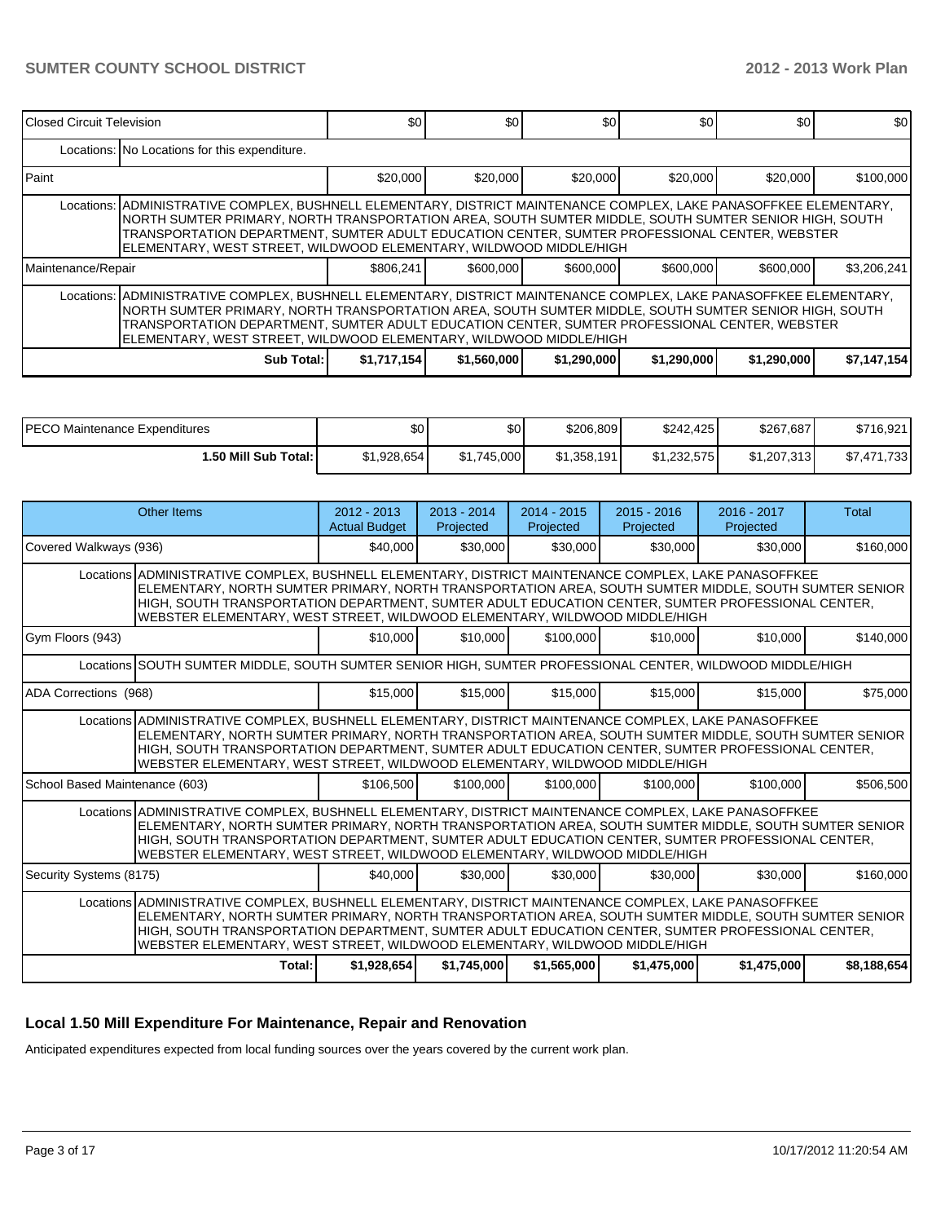| <b>IClosed Circuit Television</b>                                                                                                                                                                                                                                                                                                                                                                    |                                                                                                        | \$0       | \$0 <sub>1</sub> | \$0       | \$0       | \$0       | \$0         |  |  |  |  |
|------------------------------------------------------------------------------------------------------------------------------------------------------------------------------------------------------------------------------------------------------------------------------------------------------------------------------------------------------------------------------------------------------|--------------------------------------------------------------------------------------------------------|-----------|------------------|-----------|-----------|-----------|-------------|--|--|--|--|
|                                                                                                                                                                                                                                                                                                                                                                                                      | Locations: No Locations for this expenditure.                                                          |           |                  |           |           |           |             |  |  |  |  |
| l Paint                                                                                                                                                                                                                                                                                                                                                                                              |                                                                                                        | \$20,000  | \$20,000         | \$20,000  | \$20,000  | \$20,000  | \$100,000   |  |  |  |  |
| Locations:  ADMINISTRATIVE COMPLEX, BUSHNELL ELEMENTARY, DISTRICT MAINTENANCE COMPLEX, LAKE PANASOFFKEE ELEMENTARY,<br>NORTH SUMTER PRIMARY, NORTH TRANSPORTATION AREA, SOUTH SUMTER MIDDLE, SOUTH SUMTER SENIOR HIGH, SOUTH<br>TRANSPORTATION DEPARTMENT. SUMTER ADULT EDUCATION CENTER. SUMTER PROFESSIONAL CENTER. WEBSTER<br>ELEMENTARY, WEST STREET, WILDWOOD ELEMENTARY, WILDWOOD MIDDLE/HIGH  |                                                                                                        |           |                  |           |           |           |             |  |  |  |  |
| Maintenance/Repair                                                                                                                                                                                                                                                                                                                                                                                   |                                                                                                        | \$806,241 | \$600,000        | \$600,000 | \$600,000 | \$600,000 | \$3,206,241 |  |  |  |  |
| Locations:   ADMINISTRATIVE COMPLEX, BUSHNELL ELEMENTARY, DISTRICT MAINTENANCE COMPLEX, LAKE PANASOFFKEE ELEMENTARY,<br>NORTH SUMTER PRIMARY, NORTH TRANSPORTATION AREA, SOUTH SUMTER MIDDLE, SOUTH SUMTER SENIOR HIGH, SOUTH<br>TRANSPORTATION DEPARTMENT, SUMTER ADULT EDUCATION CENTER, SUMTER PROFESSIONAL CENTER, WEBSTER<br>ELEMENTARY, WEST STREET, WILDWOOD ELEMENTARY, WILDWOOD MIDDLE/HIGH |                                                                                                        |           |                  |           |           |           |             |  |  |  |  |
|                                                                                                                                                                                                                                                                                                                                                                                                      | \$1,560,000<br>Sub Total: I<br>\$1,717,154<br>\$7,147,154<br>\$1,290,000<br>\$1,290,000<br>\$1,290,000 |           |                  |           |           |           |             |  |  |  |  |

| IPECO Maintenance Expenditures | \$0         | ሶስ<br>JU.   | \$206,809   | \$242.425   | \$267,687   | \$716,921   |
|--------------------------------|-------------|-------------|-------------|-------------|-------------|-------------|
| 1.50 Mill Sub Total: I         | \$1,928,654 | \$1.745.000 | \$1,358,191 | \$1,232,575 | \$1,207,313 | \$7,471,733 |

| Other Items                                                                                                                                                                                                                                                                                                                                                                                       | $2012 - 2013$<br><b>Actual Budget</b> | $2013 - 2014$<br>Projected | $2014 - 2015$<br>Projected | $2015 - 2016$<br>Projected | $2016 - 2017$<br>Projected | Total       |  |  |
|---------------------------------------------------------------------------------------------------------------------------------------------------------------------------------------------------------------------------------------------------------------------------------------------------------------------------------------------------------------------------------------------------|---------------------------------------|----------------------------|----------------------------|----------------------------|----------------------------|-------------|--|--|
| Covered Walkways (936)                                                                                                                                                                                                                                                                                                                                                                            | \$40,000                              | \$30,000                   | \$30,000                   | \$30,000                   | \$30,000                   | \$160,000   |  |  |
| Locations ADMINISTRATIVE COMPLEX, BUSHNELL ELEMENTARY, DISTRICT MAINTENANCE COMPLEX, LAKE PANASOFFKEE<br>ELEMENTARY, NORTH SUMTER PRIMARY, NORTH TRANSPORTATION AREA, SOUTH SUMTER MIDDLE, SOUTH SUMTER SENIOR<br>HIGH, SOUTH TRANSPORTATION DEPARTMENT, SUMTER ADULT EDUCATION CENTER, SUMTER PROFESSIONAL CENTER,<br>WEBSTER ELEMENTARY, WEST STREET, WILDWOOD ELEMENTARY, WILDWOOD MIDDLE/HIGH |                                       |                            |                            |                            |                            |             |  |  |
| Gym Floors (943)                                                                                                                                                                                                                                                                                                                                                                                  | \$10,000                              | \$10,000                   | \$100,000                  | \$10,000                   | \$10,000                   | \$140,000   |  |  |
| Locations SOUTH SUMTER MIDDLE, SOUTH SUMTER SENIOR HIGH, SUMTER PROFESSIONAL CENTER, WILDWOOD MIDDLE/HIGH                                                                                                                                                                                                                                                                                         |                                       |                            |                            |                            |                            |             |  |  |
| ADA Corrections (968)                                                                                                                                                                                                                                                                                                                                                                             | \$15,000                              | \$15,000                   | \$15,000                   | \$15,000                   | \$15,000                   | \$75,000    |  |  |
| Locations ADMINISTRATIVE COMPLEX, BUSHNELL ELEMENTARY, DISTRICT MAINTENANCE COMPLEX, LAKE PANASOFFKEE<br>ELEMENTARY, NORTH SUMTER PRIMARY, NORTH TRANSPORTATION AREA, SOUTH SUMTER MIDDLE, SOUTH SUMTER SENIOR<br>HIGH, SOUTH TRANSPORTATION DEPARTMENT, SUMTER ADULT EDUCATION CENTER, SUMTER PROFESSIONAL CENTER,<br>WEBSTER ELEMENTARY, WEST STREET, WILDWOOD ELEMENTARY, WILDWOOD MIDDLE/HIGH |                                       |                            |                            |                            |                            |             |  |  |
| School Based Maintenance (603)                                                                                                                                                                                                                                                                                                                                                                    | \$106,500                             | \$100,000                  | \$100,000                  | \$100,000                  | \$100.000                  | \$506,500   |  |  |
| Locations ADMINISTRATIVE COMPLEX, BUSHNELL ELEMENTARY, DISTRICT MAINTENANCE COMPLEX, LAKE PANASOFFKEE<br>ELEMENTARY, NORTH SUMTER PRIMARY, NORTH TRANSPORTATION AREA, SOUTH SUMTER MIDDLE, SOUTH SUMTER SENIOR<br>HIGH, SOUTH TRANSPORTATION DEPARTMENT, SUMTER ADULT EDUCATION CENTER, SUMTER PROFESSIONAL CENTER,<br>WEBSTER ELEMENTARY, WEST STREET, WILDWOOD ELEMENTARY, WILDWOOD MIDDLE/HIGH |                                       |                            |                            |                            |                            |             |  |  |
| Security Systems (8175)                                                                                                                                                                                                                                                                                                                                                                           | \$40,000                              | \$30,000                   | \$30,000                   | \$30,000                   | \$30,000                   | \$160,000   |  |  |
| Locations ADMINISTRATIVE COMPLEX, BUSHNELL ELEMENTARY, DISTRICT MAINTENANCE COMPLEX, LAKE PANASOFFKEE<br>ELEMENTARY, NORTH SUMTER PRIMARY, NORTH TRANSPORTATION AREA, SOUTH SUMTER MIDDLE, SOUTH SUMTER SENIOR<br>HIGH, SOUTH TRANSPORTATION DEPARTMENT, SUMTER ADULT EDUCATION CENTER, SUMTER PROFESSIONAL CENTER,<br>WEBSTER ELEMENTARY, WEST STREET, WILDWOOD ELEMENTARY, WILDWOOD MIDDLE/HIGH |                                       |                            |                            |                            |                            |             |  |  |
| Total:                                                                                                                                                                                                                                                                                                                                                                                            | \$1,928,654                           | \$1,745,000                | \$1,565,000                | \$1,475,000                | \$1,475,000                | \$8,188,654 |  |  |

## **Local 1.50 Mill Expenditure For Maintenance, Repair and Renovation**

Anticipated expenditures expected from local funding sources over the years covered by the current work plan.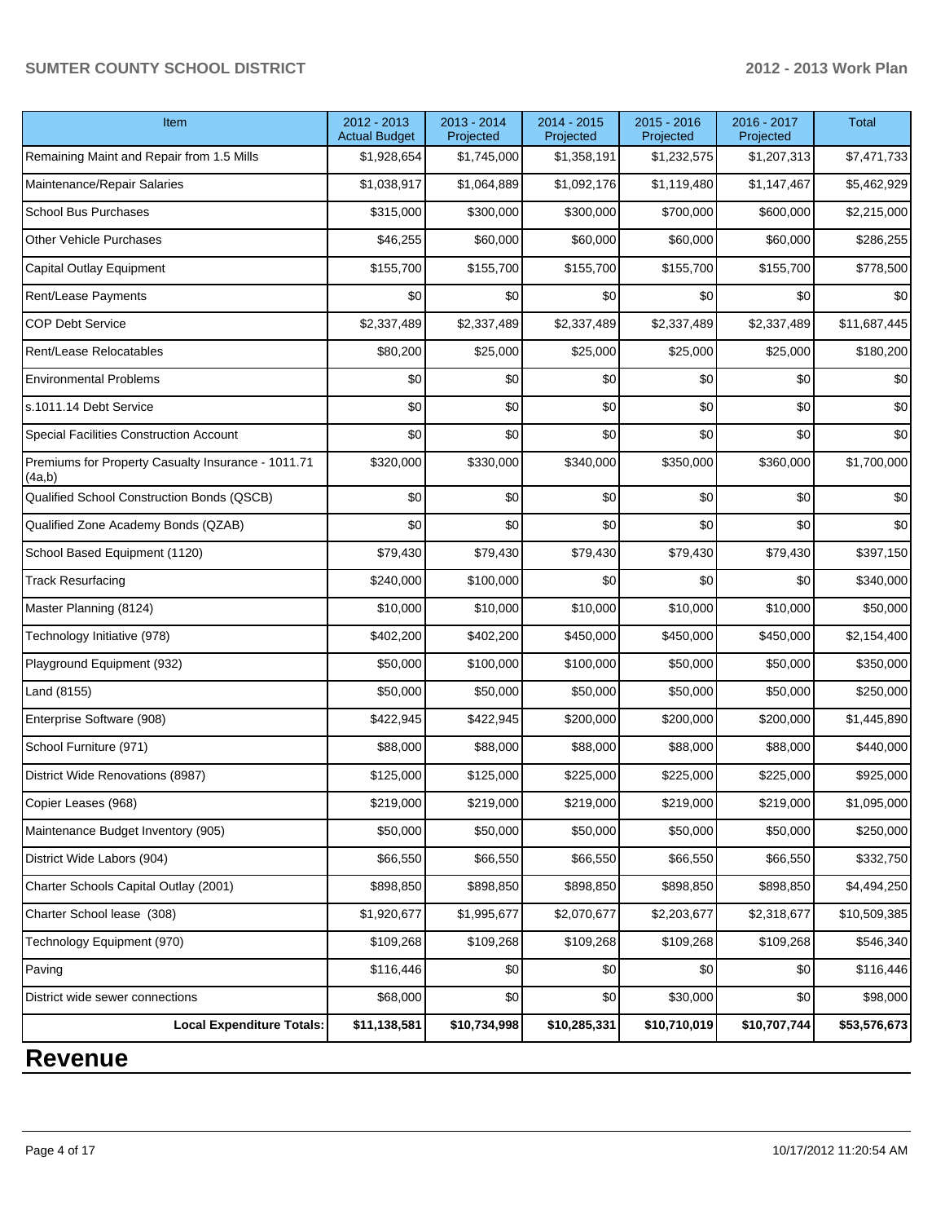## **SUMTER COUNTY SCHOOL DISTRICT 2012 - 2013 Work Plan**

| Item                                                         | 2012 - 2013<br><b>Actual Budget</b> | 2013 - 2014<br>Projected | 2014 - 2015<br>Projected | 2015 - 2016<br>Projected | 2016 - 2017<br>Projected | <b>Total</b> |
|--------------------------------------------------------------|-------------------------------------|--------------------------|--------------------------|--------------------------|--------------------------|--------------|
| Remaining Maint and Repair from 1.5 Mills                    | \$1,928,654                         | \$1,745,000              | \$1,358,191              | \$1,232,575              | \$1,207,313              | \$7,471,733  |
| Maintenance/Repair Salaries                                  | \$1,038,917                         | \$1,064,889              | \$1,092,176              | \$1,119,480              | \$1,147,467              | \$5,462,929  |
| <b>School Bus Purchases</b>                                  | \$315,000                           | \$300,000                | \$300,000                | \$700,000                | \$600,000                | \$2,215,000  |
| <b>Other Vehicle Purchases</b>                               | \$46,255                            | \$60,000                 | \$60,000                 | \$60,000                 | \$60,000                 | \$286,255    |
| Capital Outlay Equipment                                     | \$155,700                           | \$155,700                | \$155,700                | \$155,700                | \$155,700                | \$778,500    |
| Rent/Lease Payments                                          | \$0                                 | \$0                      | \$0                      | \$0                      | \$0                      | \$0          |
| <b>COP Debt Service</b>                                      | \$2,337,489                         | \$2,337,489              | \$2,337,489              | \$2,337,489              | \$2,337,489              | \$11,687,445 |
| Rent/Lease Relocatables                                      | \$80,200                            | \$25,000                 | \$25,000                 | \$25,000                 | \$25,000                 | \$180,200    |
| <b>Environmental Problems</b>                                | \$0                                 | \$0                      | \$0                      | \$0                      | \$0                      | \$0          |
| s.1011.14 Debt Service                                       | \$0                                 | \$0                      | \$0                      | \$0                      | \$0                      | \$0          |
| <b>Special Facilities Construction Account</b>               | \$0                                 | \$0                      | \$0                      | \$0                      | \$0                      | \$0          |
| Premiums for Property Casualty Insurance - 1011.71<br>(4a,b) | \$320,000                           | \$330,000                | \$340,000                | \$350,000                | \$360,000                | \$1,700,000  |
| Qualified School Construction Bonds (QSCB)                   | \$0                                 | \$0                      | \$0                      | \$0                      | \$0                      | \$0          |
| Qualified Zone Academy Bonds (QZAB)                          | \$0                                 | \$0                      | \$0                      | \$0                      | \$0                      | \$0          |
| School Based Equipment (1120)                                | \$79,430                            | \$79,430                 | \$79,430                 | \$79,430                 | \$79,430                 | \$397,150    |
| <b>Track Resurfacing</b>                                     | \$240,000                           | \$100,000                | \$0                      | \$0                      | \$0                      | \$340,000    |
| Master Planning (8124)                                       | \$10,000                            | \$10,000                 | \$10,000                 | \$10,000                 | \$10,000                 | \$50,000     |
| Technology Initiative (978)                                  | \$402,200                           | \$402,200                | \$450,000                | \$450,000                | \$450,000                | \$2,154,400  |
| Playground Equipment (932)                                   | \$50,000                            | \$100,000                | \$100,000                | \$50,000                 | \$50,000                 | \$350,000    |
| Land (8155)                                                  | \$50,000                            | \$50,000                 | \$50,000                 | \$50,000                 | \$50,000                 | \$250,000    |
| Enterprise Software (908)                                    | \$422,945                           | \$422,945                | \$200,000                | \$200,000                | \$200,000                | \$1,445,890  |
| School Furniture (971)                                       | \$88,000                            | \$88,000                 | \$88,000                 | \$88,000                 | \$88,000                 | \$440,000    |
| District Wide Renovations (8987)                             | \$125,000                           | \$125,000                | \$225,000                | \$225,000                | \$225,000                | \$925,000    |
| Copier Leases (968)                                          | \$219,000                           | \$219,000                | \$219,000                | \$219,000                | \$219,000                | \$1,095,000  |
| Maintenance Budget Inventory (905)                           | \$50,000                            | \$50,000                 | \$50,000                 | \$50,000                 | \$50,000                 | \$250,000    |
| District Wide Labors (904)                                   | \$66,550                            | \$66,550                 | \$66,550                 | \$66,550                 | \$66,550                 | \$332,750    |
| Charter Schools Capital Outlay (2001)                        | \$898,850                           | \$898,850                | \$898,850                | \$898,850                | \$898,850                | \$4,494,250  |
| Charter School lease (308)                                   | \$1,920,677                         | \$1,995,677              | \$2,070,677              | \$2,203,677              | \$2,318,677              | \$10,509,385 |
| Technology Equipment (970)                                   | \$109,268                           | \$109,268                | \$109,268                | \$109,268                | \$109,268                | \$546,340    |
| Paving                                                       | \$116,446                           | \$0                      | 0                        | \$0                      | \$0                      | \$116,446    |
| District wide sewer connections                              | \$68,000                            | \$0                      | \$0                      | \$30,000                 | \$0                      | \$98,000     |
| <b>Local Expenditure Totals:</b>                             | \$11,138,581                        | \$10,734,998             | \$10,285,331             | \$10,710,019             | \$10,707,744             | \$53,576,673 |

## **Revenue**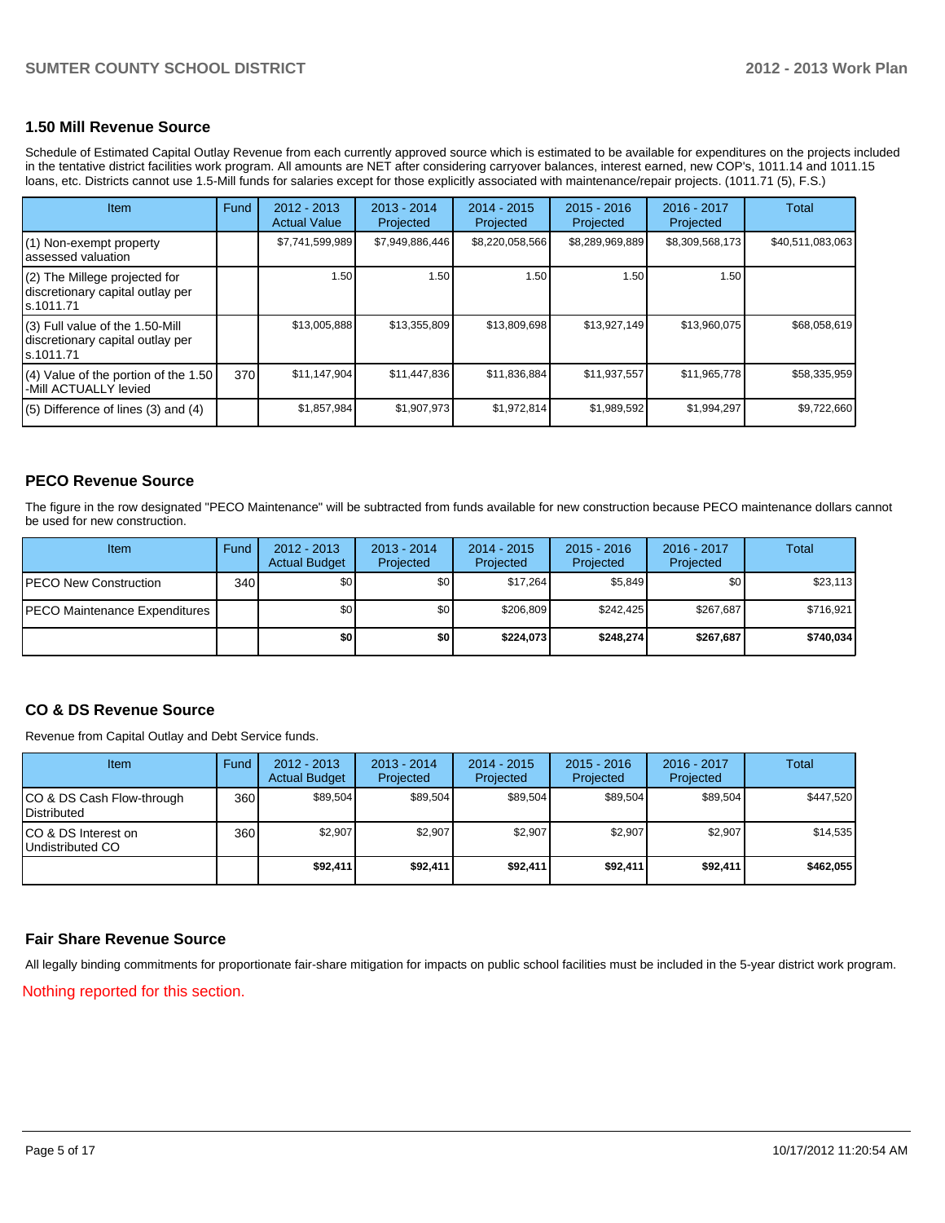## **1.50 Mill Revenue Source**

Schedule of Estimated Capital Outlay Revenue from each currently approved source which is estimated to be available for expenditures on the projects included in the tentative district facilities work program. All amounts are NET after considering carryover balances, interest earned, new COP's, 1011.14 and 1011.15 loans, etc. Districts cannot use 1.5-Mill funds for salaries except for those explicitly associated with maintenance/repair projects. (1011.71 (5), F.S.)

| <b>Item</b>                                                                      | Fund | $2012 - 2013$<br><b>Actual Value</b> | $2013 - 2014$<br>Projected | $2014 - 2015$<br>Projected | $2015 - 2016$<br>Projected | $2016 - 2017$<br>Projected | Total            |
|----------------------------------------------------------------------------------|------|--------------------------------------|----------------------------|----------------------------|----------------------------|----------------------------|------------------|
| (1) Non-exempt property<br>assessed valuation                                    |      | \$7,741,599,989                      | \$7,949,886,446            | \$8,220,058,566            | \$8,289,969,889            | \$8,309,568,173            | \$40,511,083,063 |
| (2) The Millege projected for<br>discretionary capital outlay per<br>ls.1011.71  |      | 1.50                                 | 1.50                       | 1.501                      | 1.50                       | 1.50                       |                  |
| (3) Full value of the 1.50-Mill<br>discretionary capital outlay per<br>s.1011.71 |      | \$13,005,888                         | \$13,355,809               | \$13,809,698               | \$13,927,149               | \$13,960,075               | \$68,058,619     |
| $(4)$ Value of the portion of the 1.50<br>-Mill ACTUALLY levied                  | 370  | \$11,147,904                         | \$11,447,836               | \$11,836,884               | \$11,937,557               | \$11,965,778               | \$58,335,959     |
| $(5)$ Difference of lines $(3)$ and $(4)$                                        |      | \$1,857,984                          | \$1,907,973                | \$1,972,814                | \$1,989,592                | \$1,994,297                | \$9,722,660      |

## **PECO Revenue Source**

The figure in the row designated "PECO Maintenance" will be subtracted from funds available for new construction because PECO maintenance dollars cannot be used for new construction.

| Item                                 | Fund | $2012 - 2013$<br><b>Actual Budget</b> | $2013 - 2014$<br>Projected | 2014 - 2015<br>Projected | $2015 - 2016$<br>Projected | 2016 - 2017<br>Projected | Total     |
|--------------------------------------|------|---------------------------------------|----------------------------|--------------------------|----------------------------|--------------------------|-----------|
| <b>IPECO New Construction</b>        | 340  | \$0                                   | \$0 <sub>1</sub>           | \$17.264                 | \$5.849                    | \$0                      | \$23,113  |
| <b>PECO Maintenance Expenditures</b> |      | \$0                                   | \$0                        | \$206.809                | \$242.425                  | \$267,687                | \$716,921 |
|                                      |      | \$0 I                                 | \$0                        | \$224.073                | \$248.274                  | \$267.687                | \$740.034 |

## **CO & DS Revenue Source**

Revenue from Capital Outlay and Debt Service funds.

| <b>Item</b>                                        | Fund | $2012 - 2013$<br><b>Actual Budget</b> | $2013 - 2014$<br>Projected | $2014 - 2015$<br>Projected | $2015 - 2016$<br>Projected | $2016 - 2017$<br>Projected | Total     |
|----------------------------------------------------|------|---------------------------------------|----------------------------|----------------------------|----------------------------|----------------------------|-----------|
| ICO & DS Cash Flow-through<br><b>I</b> Distributed | 360  | \$89.504                              | \$89,504                   | \$89.504                   | \$89.504                   | \$89,504                   | \$447,520 |
| ICO & DS Interest on<br>Undistributed CO           | 360  | \$2,907                               | \$2,907                    | \$2,907                    | \$2.907                    | \$2.907                    | \$14,535  |
|                                                    |      | \$92,411                              | \$92,411                   | \$92,411                   | \$92,411                   | \$92,411                   | \$462,055 |

## **Fair Share Revenue Source**

Nothing reported for this section. All legally binding commitments for proportionate fair-share mitigation for impacts on public school facilities must be included in the 5-year district work program.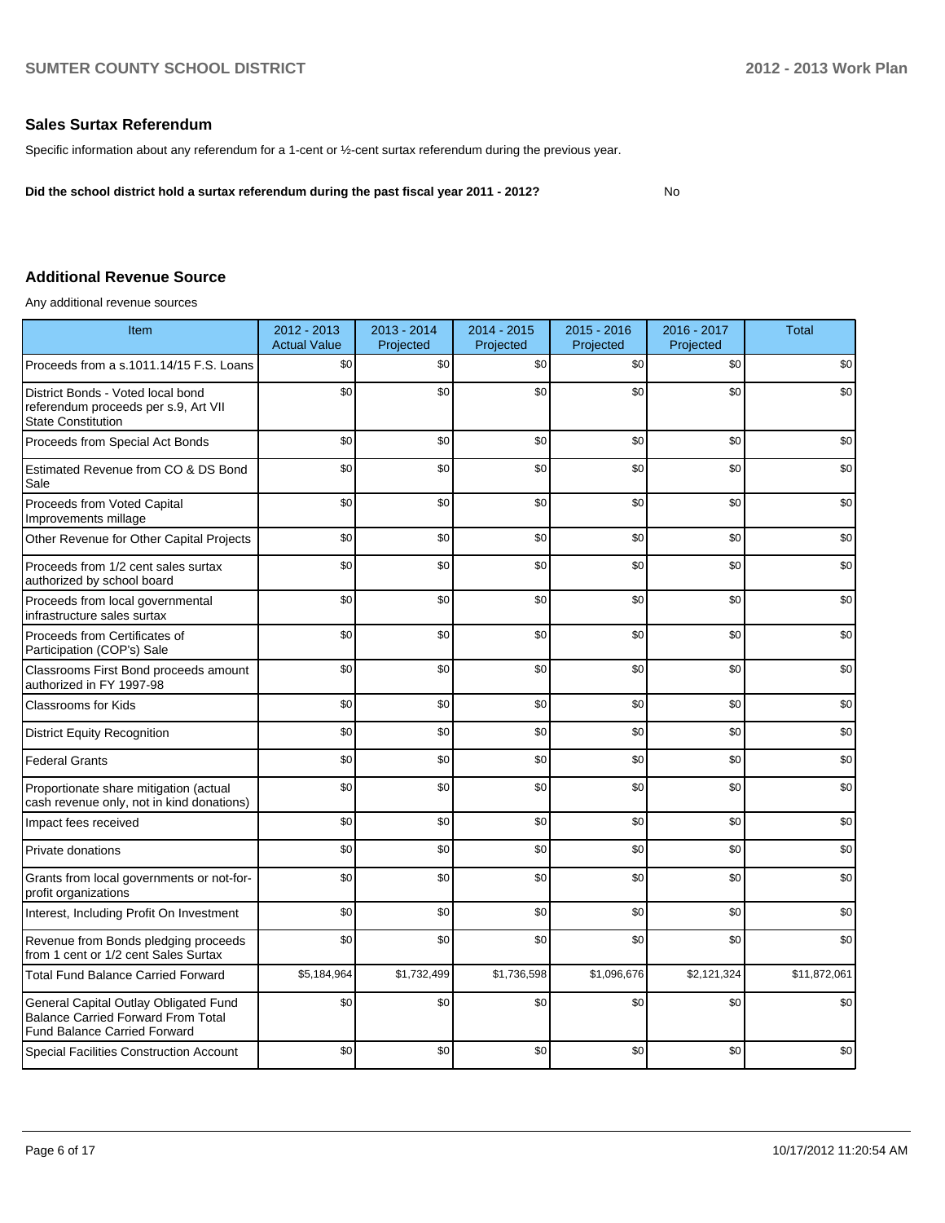## **Sales Surtax Referendum**

Specific information about any referendum for a 1-cent or ½-cent surtax referendum during the previous year.

**Did the school district hold a surtax referendum during the past fiscal year 2011 - 2012?**

No

## **Additional Revenue Source**

Any additional revenue sources

| Item                                                                                                                      | 2012 - 2013<br><b>Actual Value</b> | 2013 - 2014<br>Projected | 2014 - 2015<br>Projected | $2015 - 2016$<br>Projected | 2016 - 2017<br>Projected | <b>Total</b> |
|---------------------------------------------------------------------------------------------------------------------------|------------------------------------|--------------------------|--------------------------|----------------------------|--------------------------|--------------|
| Proceeds from a s.1011.14/15 F.S. Loans                                                                                   | \$0                                | \$0                      | \$0                      | \$0                        | \$0                      | \$0          |
| District Bonds - Voted local bond<br>referendum proceeds per s.9, Art VII<br><b>State Constitution</b>                    | \$0                                | \$0                      | \$0                      | \$0                        | \$0                      | \$0          |
| Proceeds from Special Act Bonds                                                                                           | \$0                                | \$0                      | \$0                      | \$0                        | \$0                      | \$0          |
| Estimated Revenue from CO & DS Bond<br>Sale                                                                               | \$0                                | \$0                      | \$0                      | \$0                        | \$0                      | \$0          |
| Proceeds from Voted Capital<br>Improvements millage                                                                       | \$0                                | \$0                      | \$0                      | \$0                        | \$0                      | \$0          |
| Other Revenue for Other Capital Projects                                                                                  | \$0                                | \$0                      | \$0                      | \$0                        | \$0                      | \$0          |
| Proceeds from 1/2 cent sales surtax<br>authorized by school board                                                         | \$0                                | \$0                      | \$0                      | \$0                        | \$0                      | \$0          |
| Proceeds from local governmental<br>infrastructure sales surtax                                                           | \$0                                | \$0                      | \$0                      | \$0                        | \$0                      | \$0          |
| Proceeds from Certificates of<br>Participation (COP's) Sale                                                               | \$0                                | \$0                      | \$0                      | \$0                        | \$0                      | \$0          |
| Classrooms First Bond proceeds amount<br>authorized in FY 1997-98                                                         | \$0                                | \$0                      | \$0                      | \$0                        | \$0                      | \$0          |
| <b>Classrooms for Kids</b>                                                                                                | \$0                                | \$0                      | \$0                      | \$0                        | \$0                      | \$0          |
| <b>District Equity Recognition</b>                                                                                        | \$0                                | \$0                      | \$0                      | \$0                        | \$0                      | \$0          |
| <b>Federal Grants</b>                                                                                                     | \$0                                | \$0                      | \$0                      | \$0                        | \$0                      | \$0          |
| Proportionate share mitigation (actual<br>cash revenue only, not in kind donations)                                       | \$0                                | \$0                      | \$0                      | \$0                        | \$0                      | \$0          |
| Impact fees received                                                                                                      | \$0                                | \$0                      | \$0                      | \$0                        | \$0                      | \$0          |
| Private donations                                                                                                         | \$0                                | \$0                      | \$0                      | \$0                        | \$0                      | \$0          |
| Grants from local governments or not-for-<br>profit organizations                                                         | \$0                                | \$0                      | \$0                      | \$0                        | \$0                      | \$0          |
| Interest, Including Profit On Investment                                                                                  | \$0                                | \$0                      | \$0                      | \$0                        | \$0                      | \$0          |
| Revenue from Bonds pledging proceeds<br>from 1 cent or 1/2 cent Sales Surtax                                              | \$0                                | \$0                      | \$0                      | \$0                        | \$0                      | \$0          |
| <b>Total Fund Balance Carried Forward</b>                                                                                 | \$5,184,964                        | \$1,732,499              | \$1,736,598              | \$1,096,676                | \$2,121,324              | \$11,872,061 |
| General Capital Outlay Obligated Fund<br><b>Balance Carried Forward From Total</b><br><b>Fund Balance Carried Forward</b> | \$0                                | \$0                      | \$0                      | \$0                        | \$0                      | \$0          |
| <b>Special Facilities Construction Account</b>                                                                            | \$0                                | \$0                      | \$0                      | \$0                        | \$0                      | \$0          |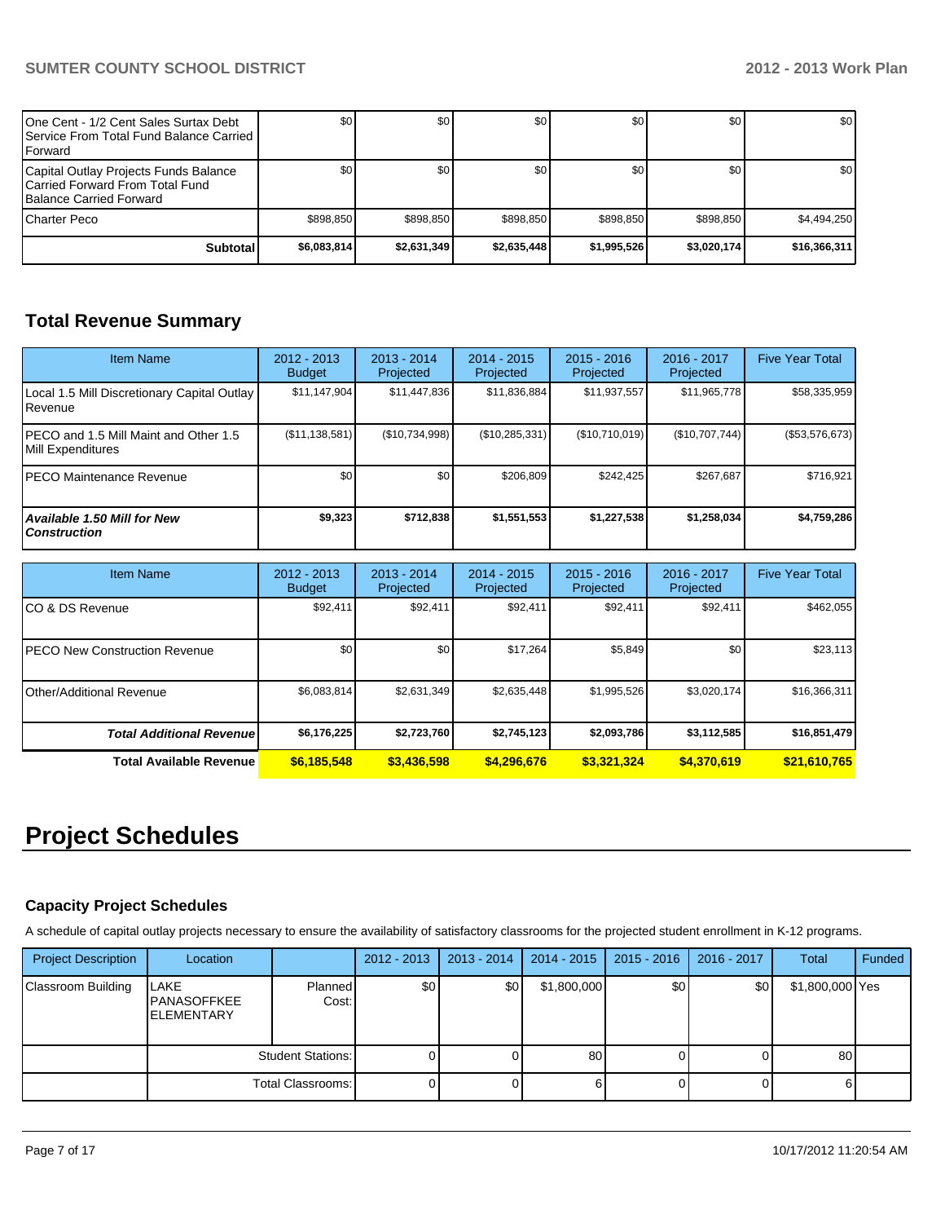| IOne Cent - 1/2 Cent Sales Surtax Debt<br>I Service From Total Fund Balance Carried I<br>l Forward   | \$0         | \$0         | \$0         | \$0 <sub>1</sub> | \$0          | \$0              |
|------------------------------------------------------------------------------------------------------|-------------|-------------|-------------|------------------|--------------|------------------|
| Capital Outlay Projects Funds Balance<br>ICarried Forward From Total Fund<br>Balance Carried Forward | \$0         | \$0         | \$0         | \$0 <sub>1</sub> | \$0          | \$0 <sub>1</sub> |
| ICharter Peco                                                                                        | \$898.850   | \$898,850   | \$898.850   | \$898.850        | \$898,850    | \$4,494,250      |
| <b>Subtotal</b>                                                                                      | \$6,083,814 | \$2,631,349 | \$2,635,448 | \$1,995,526      | \$3,020,174] | \$16,366,311     |

## **Total Revenue Summary**

| <b>Item Name</b>                                            | 2012 - 2013<br><b>Budget</b> | $2013 - 2014$<br>Projected | $2014 - 2015$<br>Projected | $2015 - 2016$<br>Projected | 2016 - 2017<br>Projected | <b>Five Year Total</b> |
|-------------------------------------------------------------|------------------------------|----------------------------|----------------------------|----------------------------|--------------------------|------------------------|
| Local 1.5 Mill Discretionary Capital Outlay<br>l Revenue    | \$11,147,904                 | \$11,447,836               | \$11,836,884               | \$11,937,557               | \$11,965,778             | \$58,335,959           |
| IPECO and 1.5 Mill Maint and Other 1.5<br>Mill Expenditures | (\$11,138,581)               | (\$10,734,998)             | (\$10,285,331)             | (\$10,710,019)             | (\$10,707,744)           | (\$53,576,673)         |
| <b>IPECO Maintenance Revenue</b>                            | \$0                          | \$0                        | \$206.809                  | \$242,425                  | \$267.687                | \$716,921              |
| <b>Available 1.50 Mill for New</b><br><b>Construction</b>   | \$9,323                      | \$712,838                  | \$1,551,553                | \$1,227,538                | \$1,258,034              | \$4,759,286            |

| <b>Item Name</b>                      | 2012 - 2013<br><b>Budget</b> | $2013 - 2014$<br>Projected | $2014 - 2015$<br>Projected | $2015 - 2016$<br>Projected | 2016 - 2017<br>Projected | <b>Five Year Total</b> |
|---------------------------------------|------------------------------|----------------------------|----------------------------|----------------------------|--------------------------|------------------------|
| ICO & DS Revenue                      | \$92,411                     | \$92,411                   | \$92,411                   | \$92,411                   | \$92,411                 | \$462,055              |
| <b>IPECO New Construction Revenue</b> | \$0                          | \$0                        | \$17,264                   | \$5,849                    | \$0                      | \$23,113               |
| IOther/Additional Revenue             | \$6,083,814                  | \$2,631,349                | \$2,635,448                | \$1,995,526                | \$3,020,174              | \$16,366,311           |
| <b>Total Additional Revenuel</b>      | \$6,176,225                  | \$2,723,760                | \$2,745,123                | \$2,093,786                | \$3,112,585              | \$16,851,479           |
| Total Available Revenue               | \$6,185,548                  | \$3,436,598                | \$4,296,676                | \$3,321,324                | \$4,370,619              | \$21,610,765           |

## **Project Schedules**

## **Capacity Project Schedules**

A schedule of capital outlay projects necessary to ensure the availability of satisfactory classrooms for the projected student enrollment in K-12 programs.

| <b>Project Description</b> | Location                                        |                          | 2012 - 2013 | $2013 - 2014$    | 2014 - 2015 | $2015 - 2016$ | 2016 - 2017 | Total           | Funded |
|----------------------------|-------------------------------------------------|--------------------------|-------------|------------------|-------------|---------------|-------------|-----------------|--------|
| <b>Classroom Building</b>  | LAKE<br><b>PANASOFFKEE</b><br><b>ELEMENTARY</b> | <b>Planned</b><br>Cost:  | \$0         | \$0 <sub>1</sub> | \$1,800,000 | \$0           | \$0         | \$1,800,000 Yes |        |
|                            |                                                 | <b>Student Stations:</b> |             |                  | 80          |               |             | 80              |        |
|                            |                                                 | Total Classrooms:        |             |                  | 6           |               |             |                 |        |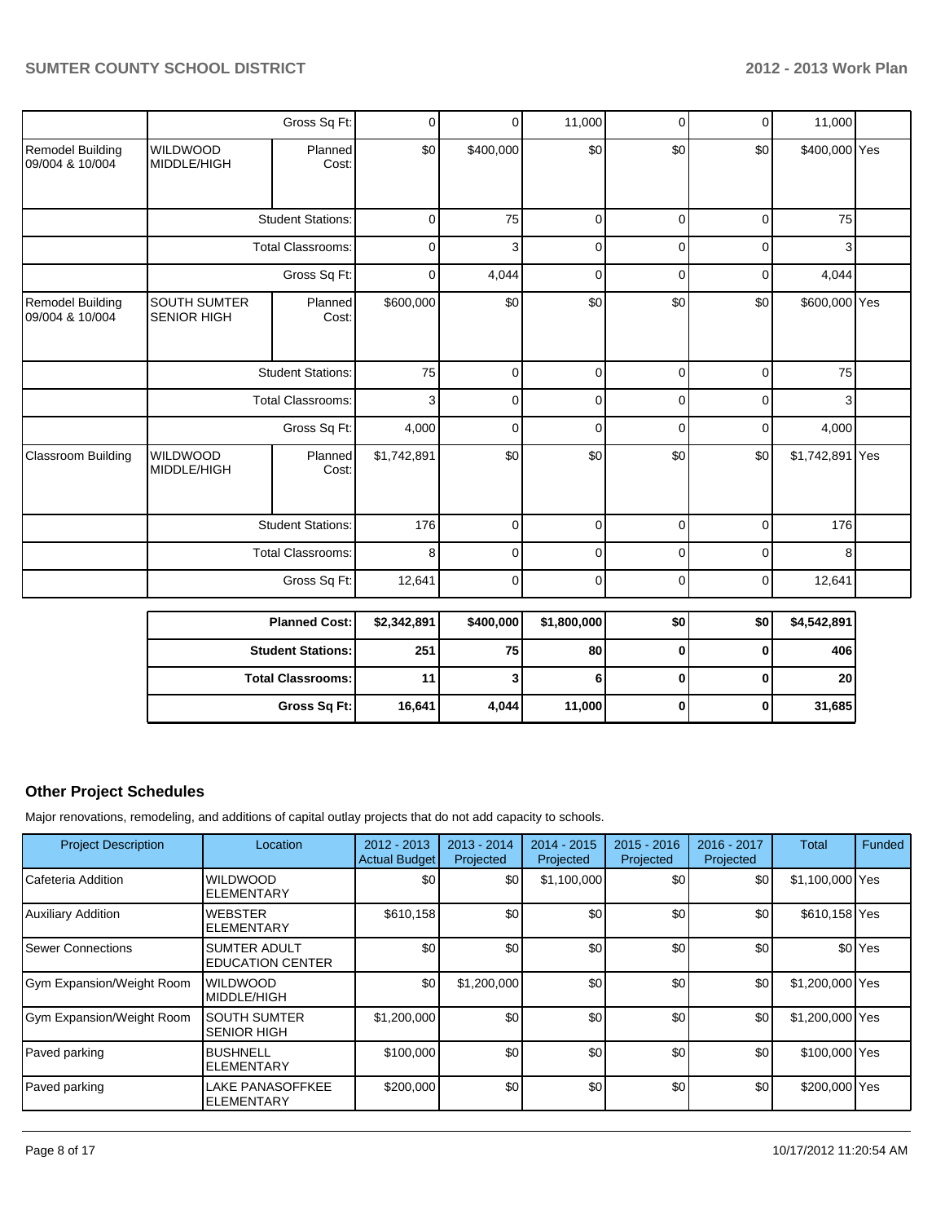|                                     |                                           | Gross Sq Ft:             | $\mathbf 0$ | 0              | 11,000      | $\Omega$    | $\Omega$    | 11,000          |  |
|-------------------------------------|-------------------------------------------|--------------------------|-------------|----------------|-------------|-------------|-------------|-----------------|--|
| Remodel Building<br>09/004 & 10/004 | <b>WILDWOOD</b><br>MIDDLE/HIGH            | Planned<br>Cost:         | \$0         | \$400,000      | \$0         | \$0         | \$0         | \$400,000 Yes   |  |
|                                     |                                           | <b>Student Stations:</b> | $\mathbf 0$ | 75             | $\mathbf 0$ | $\Omega$    | $\mathbf 0$ | 75              |  |
|                                     |                                           | <b>Total Classrooms:</b> | $\mathbf 0$ | 3              | $\mathbf 0$ | $\Omega$    | $\Omega$    | 3               |  |
|                                     |                                           | Gross Sq Ft:             | $\mathbf 0$ | 4,044          | $\mathbf 0$ | $\Omega$    | $\Omega$    | 4,044           |  |
| Remodel Building<br>09/004 & 10/004 | <b>SOUTH SUMTER</b><br><b>SENIOR HIGH</b> | Planned<br>Cost:         | \$600,000   | \$0            | \$0         | \$0         | \$0         | \$600,000 Yes   |  |
|                                     |                                           | <b>Student Stations:</b> | 75          | $\Omega$       | $\Omega$    | $\Omega$    | $\Omega$    | 75              |  |
|                                     |                                           | <b>Total Classrooms:</b> | 3           | $\Omega$       | $\Omega$    | $\Omega$    | $\Omega$    | 3               |  |
|                                     |                                           | Gross Sq Ft:             | 4,000       | $\Omega$       | $\mathbf 0$ | $\Omega$    | $\Omega$    | 4,000           |  |
| Classroom Building                  | <b>WILDWOOD</b><br>MIDDLE/HIGH            | Planned<br>Cost:         | \$1,742,891 | \$0            | \$0         | \$0         | \$0         | \$1,742,891 Yes |  |
|                                     |                                           | <b>Student Stations:</b> | 176         | $\mathbf 0$    | $\mathbf 0$ | $\mathbf 0$ | $\Omega$    | 176             |  |
|                                     |                                           | <b>Total Classrooms:</b> | 8           | $\mathbf 0$    | $\mathbf 0$ | $\Omega$    | $\mathbf 0$ | 8               |  |
|                                     |                                           | Gross Sq Ft:             | 12,641      | $\overline{0}$ | $\mathbf 0$ | $\Omega$    | $\mathbf 0$ | 12,641          |  |

| <b>Planned Cost:</b>     | \$2,342,891 | \$400,000 | \$1,800,000 | \$0 | \$0 | \$4,542,891     |
|--------------------------|-------------|-----------|-------------|-----|-----|-----------------|
| <b>Student Stations:</b> | 251         | 75        | 80          |     |     | 406             |
| <b>Total Classrooms:</b> | 11          | З         |             |     |     | 20 <sub>1</sub> |
| Gross Sq Ft:             | 16,641      | 4,044     | 11,000      |     | 0   | 31,685          |

## **Other Project Schedules**

Major renovations, remodeling, and additions of capital outlay projects that do not add capacity to schools.

| <b>Project Description</b> | Location                                       | $2012 - 2013$<br><b>Actual Budget</b> | $2013 - 2014$<br>Projected | $2014 - 2015$<br>Projected | $2015 - 2016$<br>Projected | 2016 - 2017<br>Projected | Total           | Funded             |
|----------------------------|------------------------------------------------|---------------------------------------|----------------------------|----------------------------|----------------------------|--------------------------|-----------------|--------------------|
| Cafeteria Addition         | <b>WILDWOOD</b><br><b>ELEMENTARY</b>           | \$0                                   | \$0                        | \$1,100,000                | \$0                        | \$0                      | \$1,100,000 Yes |                    |
| Auxiliary Addition         | <b>WEBSTER</b><br><b>ELEMENTARY</b>            | \$610,158                             | \$0                        | \$0                        | \$0                        | \$0                      | \$610,158 Yes   |                    |
| Sewer Connections          | <b>SUMTER ADULT</b><br><b>EDUCATION CENTER</b> | \$0                                   | \$0                        | \$0                        | \$0                        | \$0                      |                 | \$0 <sup>Yes</sup> |
| Gym Expansion/Weight Room  | <b>WILDWOOD</b><br><b>MIDDLE/HIGH</b>          | \$0                                   | \$1,200,000                | \$0                        | \$0                        | \$0                      | \$1,200,000 Yes |                    |
| Gym Expansion/Weight Room  | <b>SOUTH SUMTER</b><br><b>SENIOR HIGH</b>      | \$1,200,000                           | \$0                        | \$0                        | \$0                        | \$0                      | \$1,200,000 Yes |                    |
| Paved parking              | <b>BUSHNELL</b><br><b>ELEMENTARY</b>           | \$100,000                             | \$0                        | \$0                        | \$0                        | \$0                      | \$100,000 Yes   |                    |
| Paved parking              | <b>LAKE PANASOFFKEE</b><br><b>ELEMENTARY</b>   | \$200,000                             | \$0                        | \$0                        | \$0                        | \$0                      | \$200,000 Yes   |                    |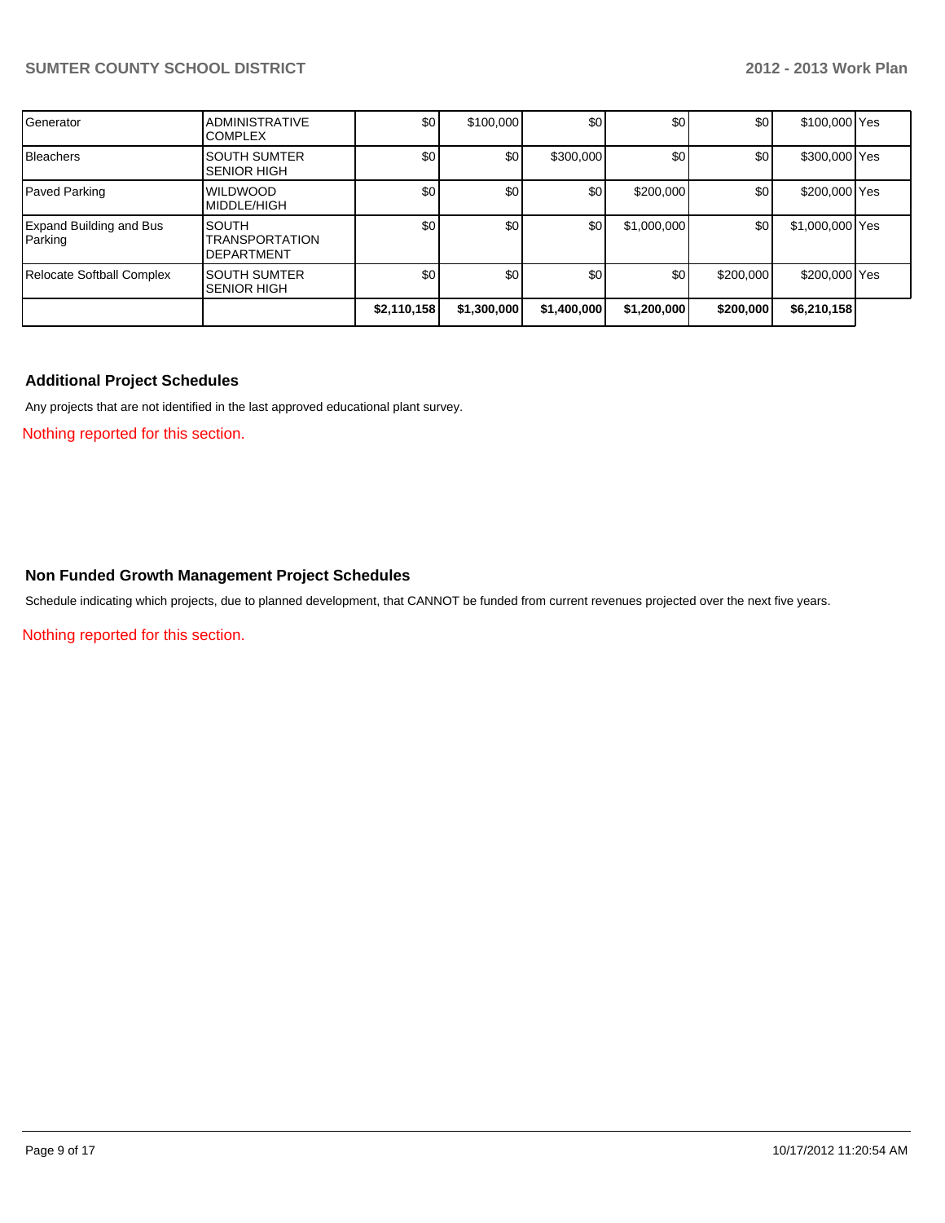| Generator                          | <b>ADMINISTRATIVE</b><br><b>COMPLEX</b>                    | \$0              | \$100,000   | \$0              | \$0         | \$0       | \$100,000 Yes   |  |
|------------------------------------|------------------------------------------------------------|------------------|-------------|------------------|-------------|-----------|-----------------|--|
| Bleachers                          | <b>SOUTH SUMTER</b><br><b>SENIOR HIGH</b>                  | \$0              | \$0         | \$300,000        | \$0         | \$0       | \$300,000 Yes   |  |
| Paved Parking                      | <b>WILDWOOD</b><br><b>MIDDLE/HIGH</b>                      | \$0              | \$0         | \$0              | \$200,000   | \$0       | \$200,000 Yes   |  |
| Expand Building and Bus<br>Parking | <b>SOUTH</b><br><b>TRANSPORTATION</b><br><b>DEPARTMENT</b> | \$0 <sub>1</sub> | \$0         | \$0              | \$1,000,000 | \$0       | \$1,000,000 Yes |  |
| <b>Relocate Softball Complex</b>   | <b>SOUTH SUMTER</b><br><b>SENIOR HIGH</b>                  | \$0              | \$0         | \$0 <sub>1</sub> | \$0         | \$200,000 | \$200,000 Yes   |  |
|                                    |                                                            | \$2,110,158      | \$1,300,000 | \$1,400,000      | \$1,200,000 | \$200,000 | \$6,210,158     |  |

## **Additional Project Schedules**

Any projects that are not identified in the last approved educational plant survey.

Nothing reported for this section.

## **Non Funded Growth Management Project Schedules**

Schedule indicating which projects, due to planned development, that CANNOT be funded from current revenues projected over the next five years.

Nothing reported for this section.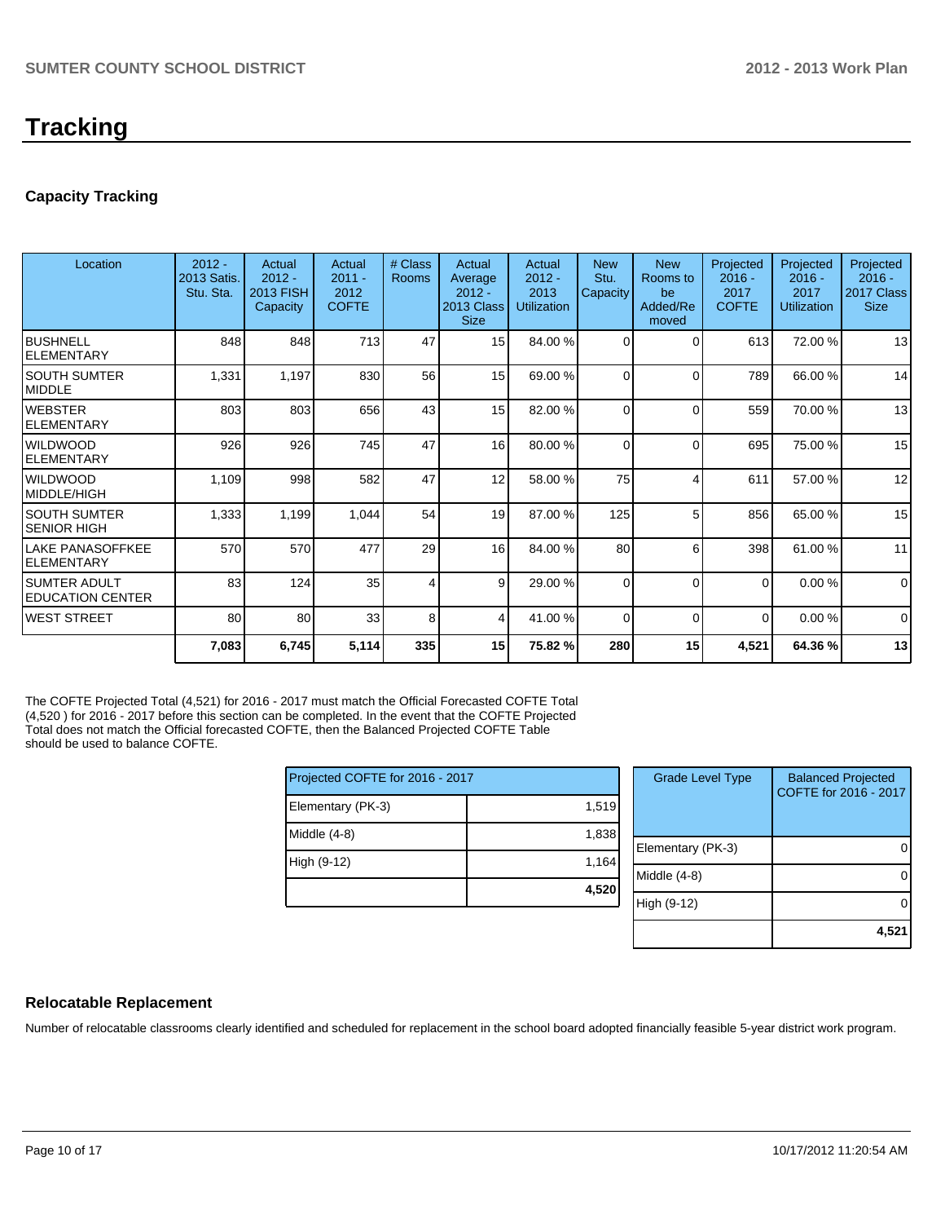## **Tracking**

## **Capacity Tracking**

| Location                                  | $2012 -$<br>2013 Satis.<br>Stu. Sta. | Actual<br>$2012 -$<br>2013 FISH<br>Capacity | Actual<br>$2011 -$<br>2012<br><b>COFTE</b> | # Class<br>Rooms | Actual<br>Average<br>$2012 -$<br>2013 Class<br><b>Size</b> | Actual<br>$2012 -$<br>2013<br><b>Utilization</b> | <b>New</b><br>Stu.<br>Capacity | <b>New</b><br>Rooms to<br>be<br>Added/Re<br>moved | Projected<br>$2016 -$<br>2017<br><b>COFTE</b> | Projected<br>$2016 -$<br>2017<br><b>Utilization</b> | Projected<br>$2016 -$<br>2017 Class<br><b>Size</b> |
|-------------------------------------------|--------------------------------------|---------------------------------------------|--------------------------------------------|------------------|------------------------------------------------------------|--------------------------------------------------|--------------------------------|---------------------------------------------------|-----------------------------------------------|-----------------------------------------------------|----------------------------------------------------|
| Ibushnell<br>IELEMENTARY                  | 848                                  | 848                                         | 713                                        | 47               | 15                                                         | 84.00 %                                          | $\Omega$                       | $\Omega$                                          | 613                                           | 72.00 %                                             | 13                                                 |
| ISOUTH SUMTER<br><b>IMIDDLE</b>           | 1,331                                | 1,197                                       | 830                                        | 56               | 15                                                         | 69.00 %                                          | $\Omega$                       | $\Omega$                                          | 789                                           | 66.00 %                                             | 14                                                 |
| IWEBSTER<br><b>IELEMENTARY</b>            | 803                                  | 803                                         | 656                                        | 43               | 15                                                         | 82.00 %                                          | $\Omega$                       | $\Omega$                                          | 559                                           | 70.00 %                                             | 13                                                 |
| <b>I</b> WILDWOOD<br><b>IELEMENTARY</b>   | 926                                  | 926                                         | 745                                        | 47               | 16                                                         | 80.00 %                                          | $\Omega$                       | $\Omega$                                          | 695                                           | 75.00 %                                             | 15                                                 |
| <b>I</b> WILDWOOD<br>MIDDLE/HIGH          | 1,109                                | 998                                         | 582                                        | 47               | 12                                                         | 58.00 %                                          | 75                             |                                                   | 611                                           | 57.00 %                                             | 12                                                 |
| <b>SOUTH SUMTER</b><br>SENIOR HIGH        | 1,333                                | 1,199                                       | 1,044                                      | 54               | 19                                                         | 87.00 %                                          | 125                            | 5                                                 | 856                                           | 65.00 %                                             | 15                                                 |
| llake Panasoffkee<br><b>IELEMENTARY</b>   | 570                                  | 570                                         | 477                                        | 29               | 16                                                         | 84.00 %                                          | 80                             | 6                                                 | 398                                           | 61.00 %                                             | 11                                                 |
| ISUMTER ADULT<br><b>IEDUCATION CENTER</b> | 83                                   | 124                                         | 35                                         | 4                | 9 <sup>1</sup>                                             | 29.00 %                                          | $\Omega$                       | $\Omega$                                          | $\Omega$                                      | 0.00%                                               | $\Omega$                                           |
| lwest street                              | 80                                   | 80                                          | 33                                         | 8                | 4                                                          | 41.00 %                                          | $\Omega$                       | $\Omega$                                          | $\Omega$                                      | 0.00%                                               | $\Omega$                                           |
|                                           | 7,083                                | 6,745                                       | 5,114                                      | 335              | 15                                                         | 75.82 %                                          | 280                            | 15                                                | 4,521                                         | 64.36%                                              | 13                                                 |

The COFTE Projected Total (4,521) for 2016 - 2017 must match the Official Forecasted COFTE Total (4,520 ) for 2016 - 2017 before this section can be completed. In the event that the COFTE Projected Total does not match the Official forecasted COFTE, then the Balanced Projected COFTE Table should be used to balance COFTE.

| Projected COFTE for 2016 - 2017 |       | <b>Grade Level Type</b> | <b>Balanced Projected</b><br>COFTE for 2016 - 2017 |
|---------------------------------|-------|-------------------------|----------------------------------------------------|
| Elementary (PK-3)               | 1,519 |                         |                                                    |
| Middle (4-8)                    | 1,838 |                         |                                                    |
|                                 |       | Elementary (PK-3)       | 0                                                  |
| High (9-12)                     | 1,164 |                         |                                                    |
|                                 |       | Middle (4-8)            | 0                                                  |
|                                 | 4,520 |                         |                                                    |
|                                 |       | High (9-12)             | $\Omega$                                           |
|                                 |       |                         |                                                    |
|                                 |       |                         | 4,521                                              |

### **Relocatable Replacement**

Number of relocatable classrooms clearly identified and scheduled for replacement in the school board adopted financially feasible 5-year district work program.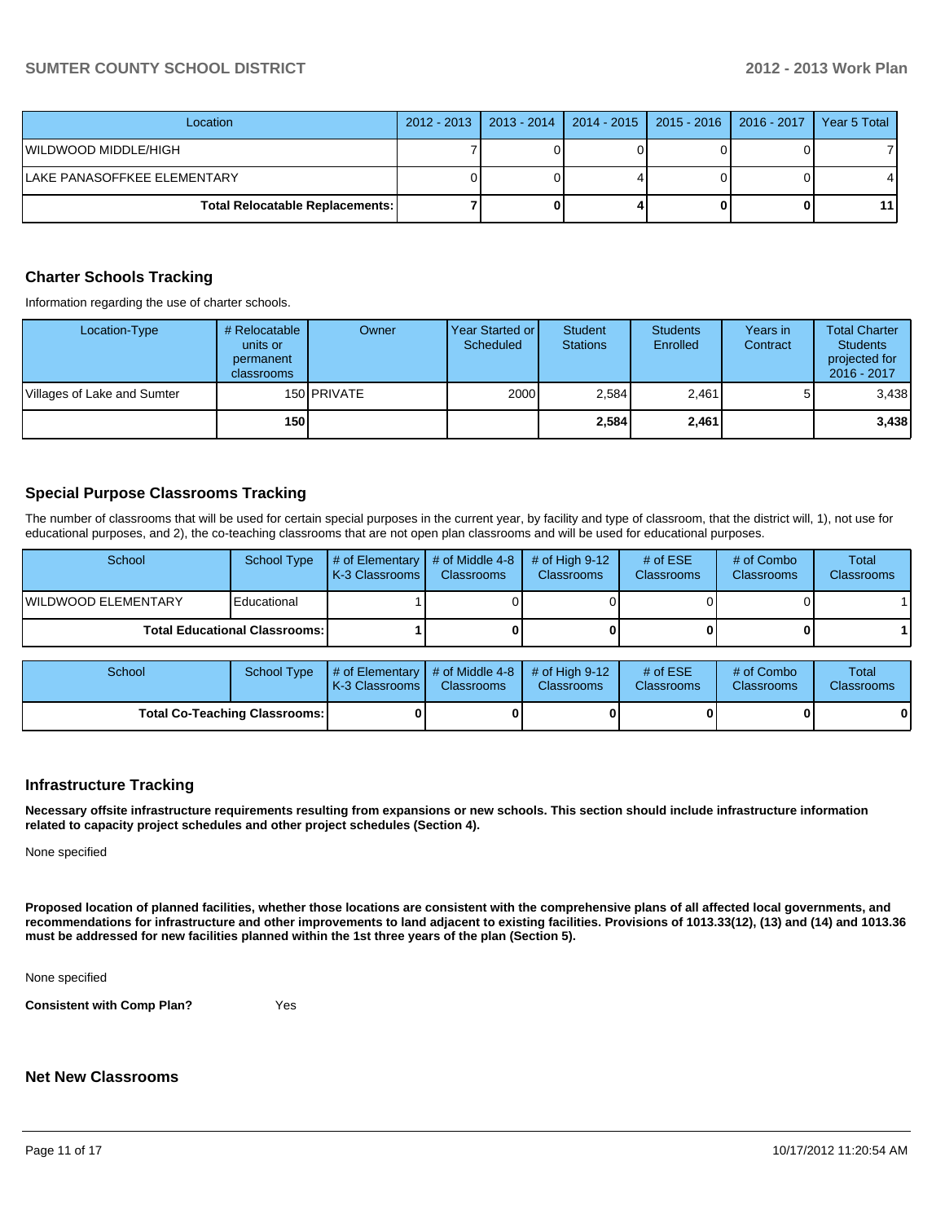## **SUMTER COUNTY SCHOOL DISTRICT 2012 - 2013 Work Plan**

| Location                                 | 2012 - 2013   2013 - 2014 | 2014 - 2015   2015 - 2016   2016 - 2017 | Year 5 Total |
|------------------------------------------|---------------------------|-----------------------------------------|--------------|
| WILDWOOD MIDDLE/HIGH                     |                           |                                         |              |
| LAKE PANASOFFKEE ELEMENTARY              |                           |                                         | 41           |
| <b>Total Relocatable Replacements: I</b> |                           |                                         | 11 I         |

## **Charter Schools Tracking**

Information regarding the use of charter schools.

| Location-Type               | # Relocatable<br>units or<br>permanent<br>classrooms | Owner              | Year Started or I<br>Scheduled | <b>Student</b><br><b>Stations</b> | <b>Students</b><br>Enrolled | Years in<br>Contract | <b>Total Charter</b><br><b>Students</b><br>projected for<br>2016 - 2017 |
|-----------------------------|------------------------------------------------------|--------------------|--------------------------------|-----------------------------------|-----------------------------|----------------------|-------------------------------------------------------------------------|
| Villages of Lake and Sumter |                                                      | 150 <b>PRIVATE</b> | 2000                           | 2,584                             | 2,461                       |                      | 3,438                                                                   |
|                             | 150                                                  |                    |                                | 2,584                             | 2,461                       |                      | 3,438                                                                   |

## **Special Purpose Classrooms Tracking**

The number of classrooms that will be used for certain special purposes in the current year, by facility and type of classroom, that the district will, 1), not use for educational purposes, and 2), the co-teaching classrooms that are not open plan classrooms and will be used for educational purposes.

| School               | <b>School Type</b>                     | $\parallel$ # of Elementary $\parallel$ # of Middle 4-8 $\parallel$<br><b>K-3 Classrooms</b> | <b>Classrooms</b> | $\#$ of High 9-12<br><b>Classrooms</b> | # of $ESE$<br><b>Classrooms</b> | # of Combo<br><b>Classrooms</b> | <b>Total</b><br><b>Classrooms</b> |
|----------------------|----------------------------------------|----------------------------------------------------------------------------------------------|-------------------|----------------------------------------|---------------------------------|---------------------------------|-----------------------------------|
| IWILDWOOD ELEMENTARY | Educational                            |                                                                                              |                   |                                        |                                 |                                 |                                   |
|                      | <b>Total Educational Classrooms: I</b> |                                                                                              |                   | OΙ                                     |                                 |                                 |                                   |

| School                        | School Type | $\parallel$ # of Elementary $\parallel$ # of Middle 4-8 $\parallel$ # of High 9-12<br>K-3 Classrooms I | <b>Classrooms</b> | <b>Classrooms</b> | # of $ESE$<br><b>Classrooms</b> | # of Combo<br><b>Classrooms</b> | Total<br><b>Classrooms</b> |
|-------------------------------|-------------|--------------------------------------------------------------------------------------------------------|-------------------|-------------------|---------------------------------|---------------------------------|----------------------------|
| Total Co-Teaching Classrooms: |             |                                                                                                        |                   |                   |                                 |                                 |                            |

## **Infrastructure Tracking**

**Necessary offsite infrastructure requirements resulting from expansions or new schools. This section should include infrastructure information related to capacity project schedules and other project schedules (Section 4).**

None specified

**Proposed location of planned facilities, whether those locations are consistent with the comprehensive plans of all affected local governments, and recommendations for infrastructure and other improvements to land adjacent to existing facilities. Provisions of 1013.33(12), (13) and (14) and 1013.36 must be addressed for new facilities planned within the 1st three years of the plan (Section 5).**

None specified

**Consistent with Comp Plan?** Yes

### **Net New Classrooms**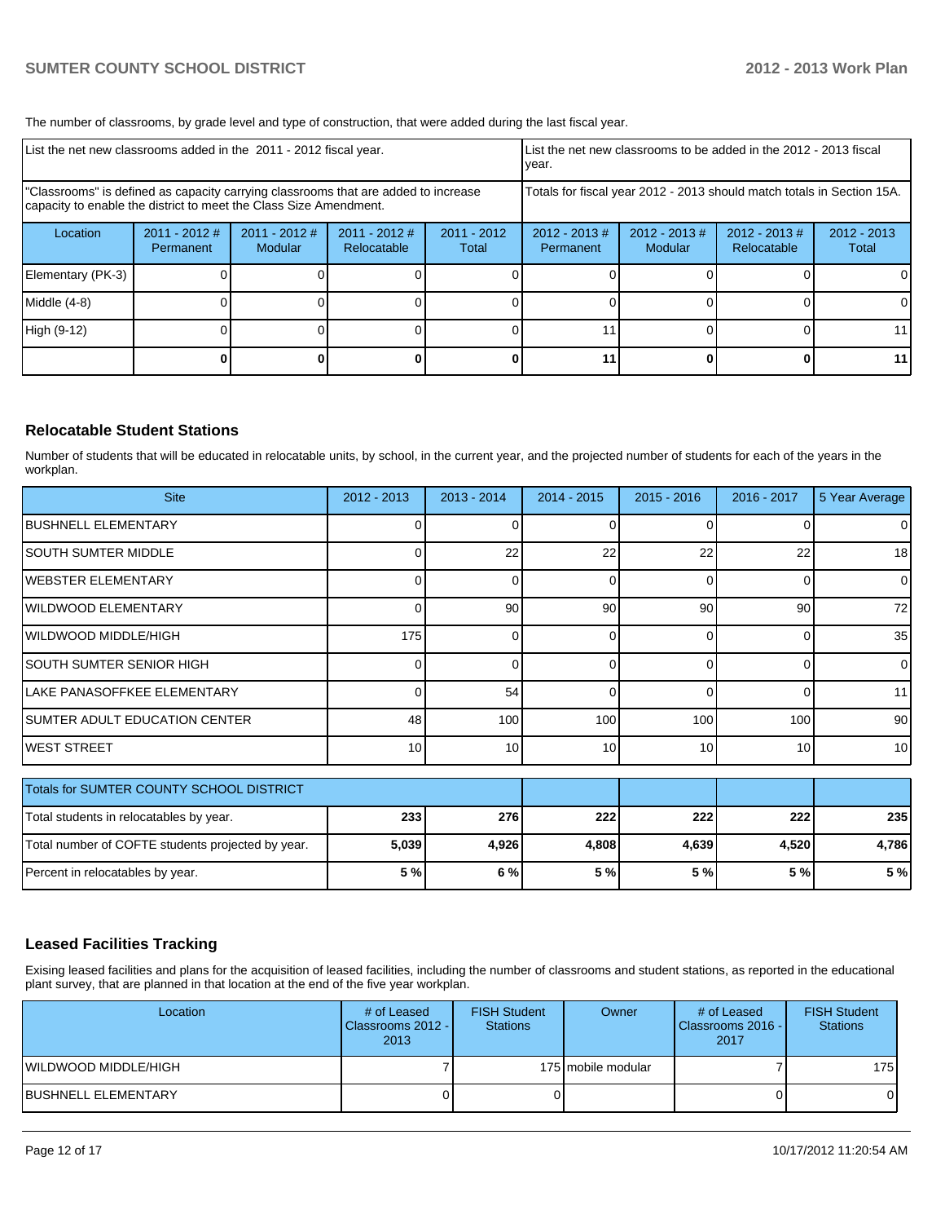The number of classrooms, by grade level and type of construction, that were added during the last fiscal year.

| List the net new classrooms added in the 2011 - 2012 fiscal year.                                                                                       |                              |                                   |                                |                        | List the net new classrooms to be added in the 2012 - 2013 fiscal<br>vear. |                             |                                 |                        |  |
|---------------------------------------------------------------------------------------------------------------------------------------------------------|------------------------------|-----------------------------------|--------------------------------|------------------------|----------------------------------------------------------------------------|-----------------------------|---------------------------------|------------------------|--|
| "Classrooms" is defined as capacity carrying classrooms that are added to increase<br>capacity to enable the district to meet the Class Size Amendment. |                              |                                   |                                |                        | Totals for fiscal year 2012 - 2013 should match totals in Section 15A.     |                             |                                 |                        |  |
| Location                                                                                                                                                | $2011 - 2012$ #<br>Permanent | $2011 - 2012$ #<br><b>Modular</b> | $2011 - 2012$ #<br>Relocatable | $2011 - 2012$<br>Total | $2012 - 2013$ #<br>Permanent                                               | $2012 - 2013 \#$<br>Modular | $2012 - 2013 \#$<br>Relocatable | $2012 - 2013$<br>Total |  |
| Elementary (PK-3)                                                                                                                                       |                              |                                   |                                |                        |                                                                            |                             |                                 | 0                      |  |
| Middle (4-8)                                                                                                                                            |                              |                                   |                                |                        |                                                                            |                             |                                 | 0                      |  |
| High (9-12)                                                                                                                                             |                              |                                   |                                |                        |                                                                            |                             |                                 | 11                     |  |
|                                                                                                                                                         |                              |                                   |                                |                        |                                                                            |                             |                                 | 11                     |  |

### **Relocatable Student Stations**

Number of students that will be educated in relocatable units, by school, in the current year, and the projected number of students for each of the years in the workplan.

| <b>Site</b>                                       | $2012 - 2013$   | $2013 - 2014$   | $2014 - 2015$   | $2015 - 2016$ | 2016 - 2017     | 5 Year Average  |
|---------------------------------------------------|-----------------|-----------------|-----------------|---------------|-----------------|-----------------|
| <b>BUSHNELL ELEMENTARY</b>                        |                 |                 | 0               |               |                 | 0               |
| <b>SOUTH SUMTER MIDDLE</b>                        | $\Omega$        | 22              | 22              | 22            | 22              | 18 <sup>l</sup> |
| <b>WEBSTER ELEMENTARY</b>                         | 0               |                 | 0               | $\Omega$      | 0               | $\Omega$        |
| <b>WILDWOOD ELEMENTARY</b>                        | C               | 90              | 90 <sup>°</sup> | 90            | 90              | 72              |
| WILDWOOD MIDDLE/HIGH                              | 175             |                 | 0               | $\Omega$      | $\Omega$        | 35              |
| <b>SOUTH SUMTER SENIOR HIGH</b>                   | 0               |                 | $\overline{0}$  | $\Omega$      | $\Omega$        | $\overline{0}$  |
| LAKE PANASOFFKEE ELEMENTARY                       |                 | 54              | 0               | $\Omega$      |                 | 11              |
| ISUMTER ADULT EDUCATION CENTER                    | 48              | 100             | 100             | 100           | 100             | 90 <sup>1</sup> |
| <b>WEST STREET</b>                                | 10 <sup>1</sup> | 10 <sup>1</sup> | 10 <sup>1</sup> | 10            | 10 <sup>1</sup> | 10 <sup>1</sup> |
| Totals for SUMTER COUNTY SCHOOL DISTRICT          |                 |                 |                 |               |                 |                 |
| Total students in relocatables by year.           | 233             | 276             | 222             | 222           | 222             | 235             |
| Total number of COFTE students projected by year. | 5,039           | 4,926           | 4,808           | 4,639         | 4,520           | 4,786           |
| Percent in relocatables by year.                  | 5 %             | 6%              | 5%              | 5 %           | 5 %             | 5%              |

## **Leased Facilities Tracking**

Exising leased facilities and plans for the acquisition of leased facilities, including the number of classrooms and student stations, as reported in the educational plant survey, that are planned in that location at the end of the five year workplan.

| Location                   | # of Leased<br>Classrooms 2012 - I<br>2013 | <b>FISH Student</b><br><b>Stations</b> | Owner              | # of Leased<br><b>I</b> Classrooms 2016 - I<br>2017 | <b>FISH Student</b><br><b>Stations</b> |
|----------------------------|--------------------------------------------|----------------------------------------|--------------------|-----------------------------------------------------|----------------------------------------|
| WILDWOOD MIDDLE/HIGH       |                                            |                                        | 175 mobile modular |                                                     | 175 I                                  |
| <b>BUSHNELL ELEMENTARY</b> |                                            |                                        |                    |                                                     | 01                                     |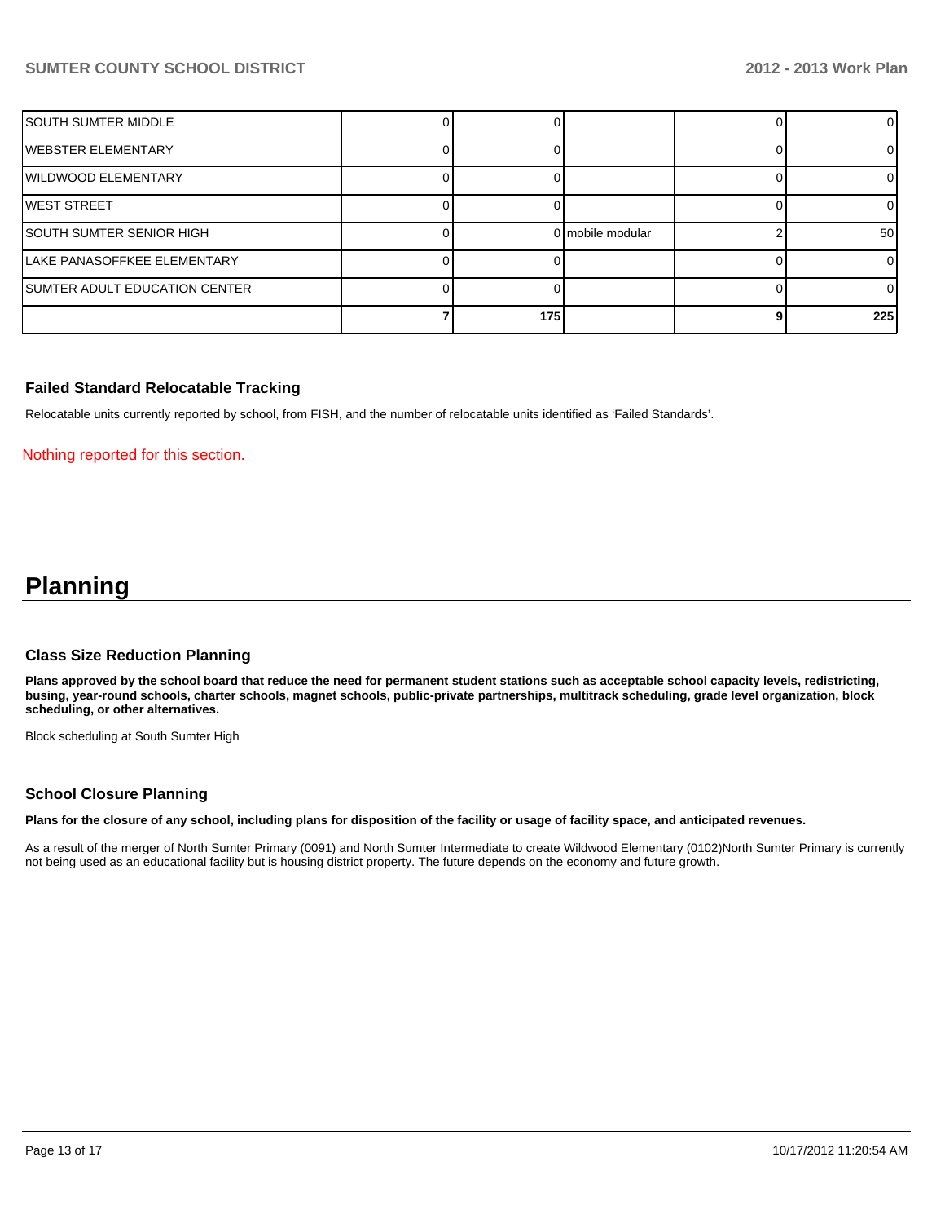## **SUMTER COUNTY SCHOOL DISTRICT 2012 - 2013 Work Plan**

|                                  | 175 |                  | 225 |
|----------------------------------|-----|------------------|-----|
| SUMTER ADULT EDUCATION CENTER    |     |                  |     |
| LAKE PANASOFFKEE ELEMENTARY      |     |                  |     |
| <b>ISOUTH SUMTER SENIOR HIGH</b> |     | 0 mobile modular | 50  |
| lwest street                     |     |                  |     |
| IWILDWOOD ELEMENTARY             |     |                  |     |
| IWEBSTER ELEMENTARY              |     |                  |     |
| ISOUTH SUMTER MIDDLE             |     |                  | ΩI  |

### **Failed Standard Relocatable Tracking**

Relocatable units currently reported by school, from FISH, and the number of relocatable units identified as 'Failed Standards'.

#### Nothing reported for this section.

## **Planning**

#### **Class Size Reduction Planning**

**Plans approved by the school board that reduce the need for permanent student stations such as acceptable school capacity levels, redistricting, busing, year-round schools, charter schools, magnet schools, public-private partnerships, multitrack scheduling, grade level organization, block scheduling, or other alternatives.**

Block scheduling at South Sumter High

#### **School Closure Planning**

**Plans for the closure of any school, including plans for disposition of the facility or usage of facility space, and anticipated revenues.**

As a result of the merger of North Sumter Primary (0091) and North Sumter Intermediate to create Wildwood Elementary (0102)North Sumter Primary is currently not being used as an educational facility but is housing district property. The future depends on the economy and future growth.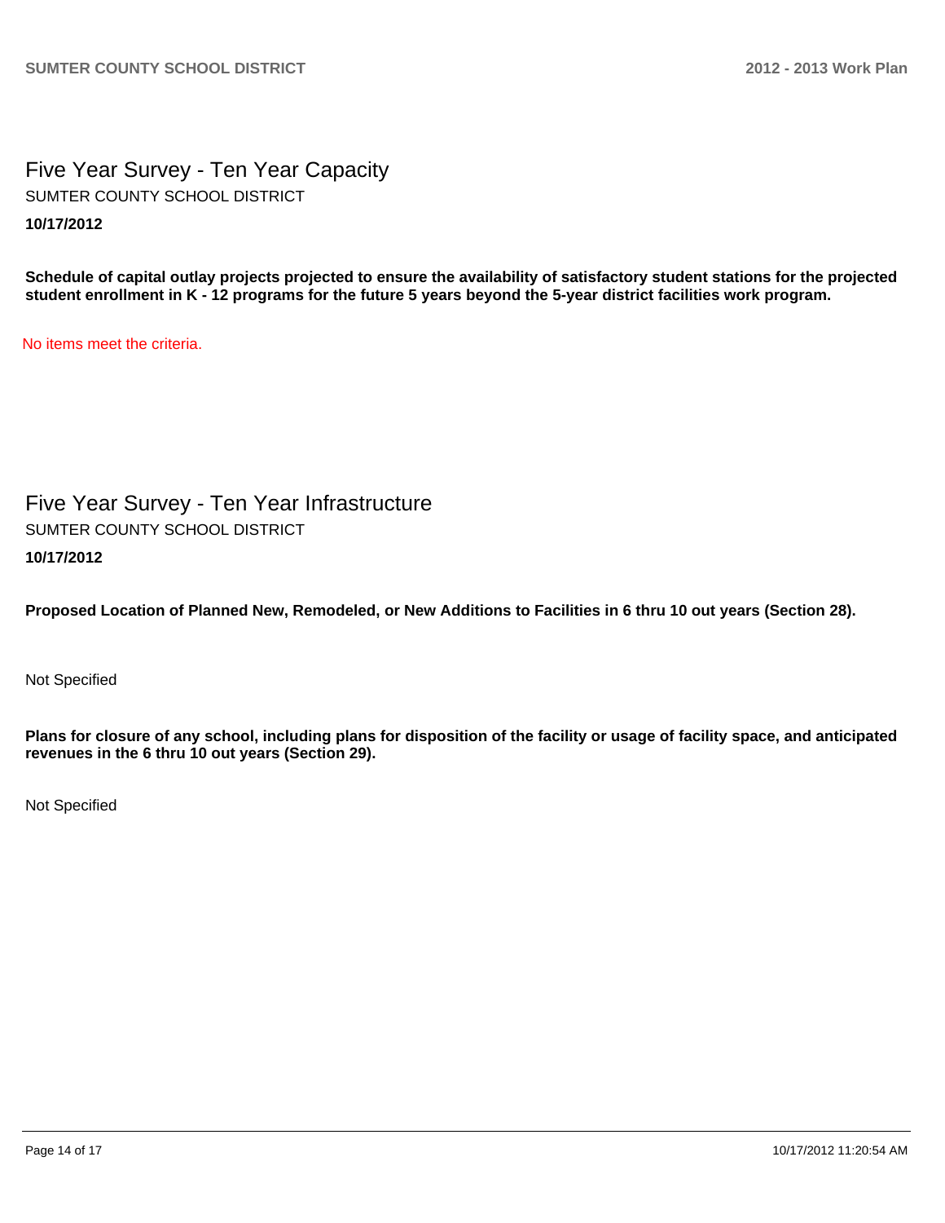Five Year Survey - Ten Year Capacity **10/17/2012** SUMTER COUNTY SCHOOL DISTRICT

**Schedule of capital outlay projects projected to ensure the availability of satisfactory student stations for the projected student enrollment in K - 12 programs for the future 5 years beyond the 5-year district facilities work program.**

No items meet the criteria.

Five Year Survey - Ten Year Infrastructure **10/17/2012** SUMTER COUNTY SCHOOL DISTRICT

**Proposed Location of Planned New, Remodeled, or New Additions to Facilities in 6 thru 10 out years (Section 28).**

Not Specified

**Plans for closure of any school, including plans for disposition of the facility or usage of facility space, and anticipated revenues in the 6 thru 10 out years (Section 29).**

Not Specified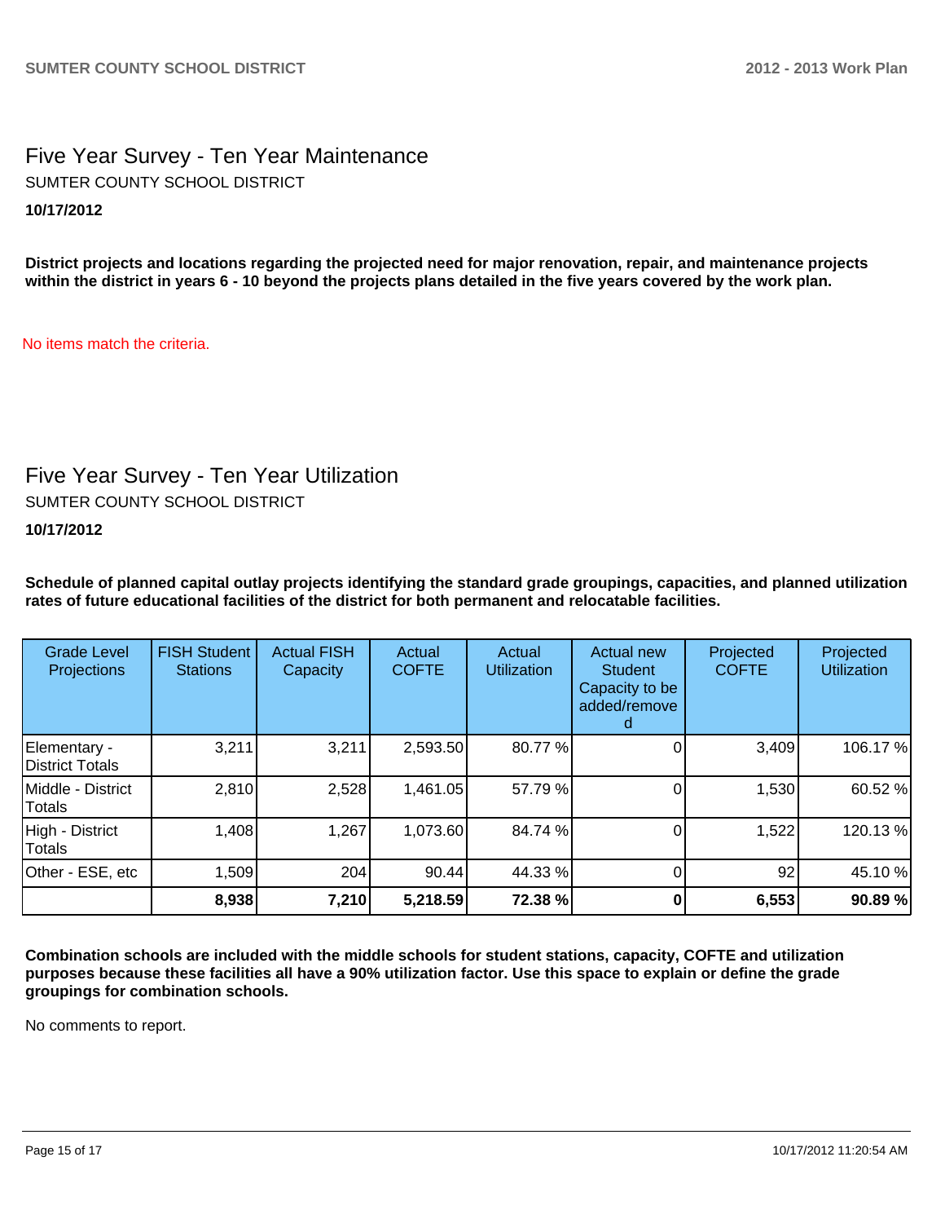## Five Year Survey - Ten Year Maintenance **10/17/2012** SUMTER COUNTY SCHOOL DISTRICT

**District projects and locations regarding the projected need for major renovation, repair, and maintenance projects within the district in years 6 - 10 beyond the projects plans detailed in the five years covered by the work plan.**

No items match the criteria.

## Five Year Survey - Ten Year Utilization

SUMTER COUNTY SCHOOL DISTRICT

**10/17/2012**

**Schedule of planned capital outlay projects identifying the standard grade groupings, capacities, and planned utilization rates of future educational facilities of the district for both permanent and relocatable facilities.**

| <b>Grade Level</b><br>Projections | <b>FISH Student</b><br><b>Stations</b> | <b>Actual FISH</b><br>Capacity | Actual<br><b>COFTE</b> | Actual<br><b>Utilization</b> | Actual new<br><b>Student</b><br>Capacity to be<br>added/remove | Projected<br><b>COFTE</b> | Projected<br><b>Utilization</b> |
|-----------------------------------|----------------------------------------|--------------------------------|------------------------|------------------------------|----------------------------------------------------------------|---------------------------|---------------------------------|
| Elementary -<br>District Totals   | 3,211                                  | 3,211                          | 2,593.50               | 80.77%                       |                                                                | 3,409                     | 106.17%                         |
| Middle - District<br>Totals       | 2,810                                  | 2,528                          | 1,461.05               | 57.79 %                      |                                                                | 1,530                     | 60.52 %                         |
| High - District<br>Totals         | 1,408                                  | 1,267                          | 1,073.60               | 84.74 %                      |                                                                | 1,522                     | 120.13%                         |
| Other - ESE, etc                  | 1,509                                  | 204                            | 90.44                  | 44.33 %                      |                                                                | 92                        | 45.10 %                         |
|                                   | 8,938                                  | 7,210                          | 5,218.59               | 72.38 %                      |                                                                | 6,553                     | 90.89%                          |

**Combination schools are included with the middle schools for student stations, capacity, COFTE and utilization purposes because these facilities all have a 90% utilization factor. Use this space to explain or define the grade groupings for combination schools.**

No comments to report.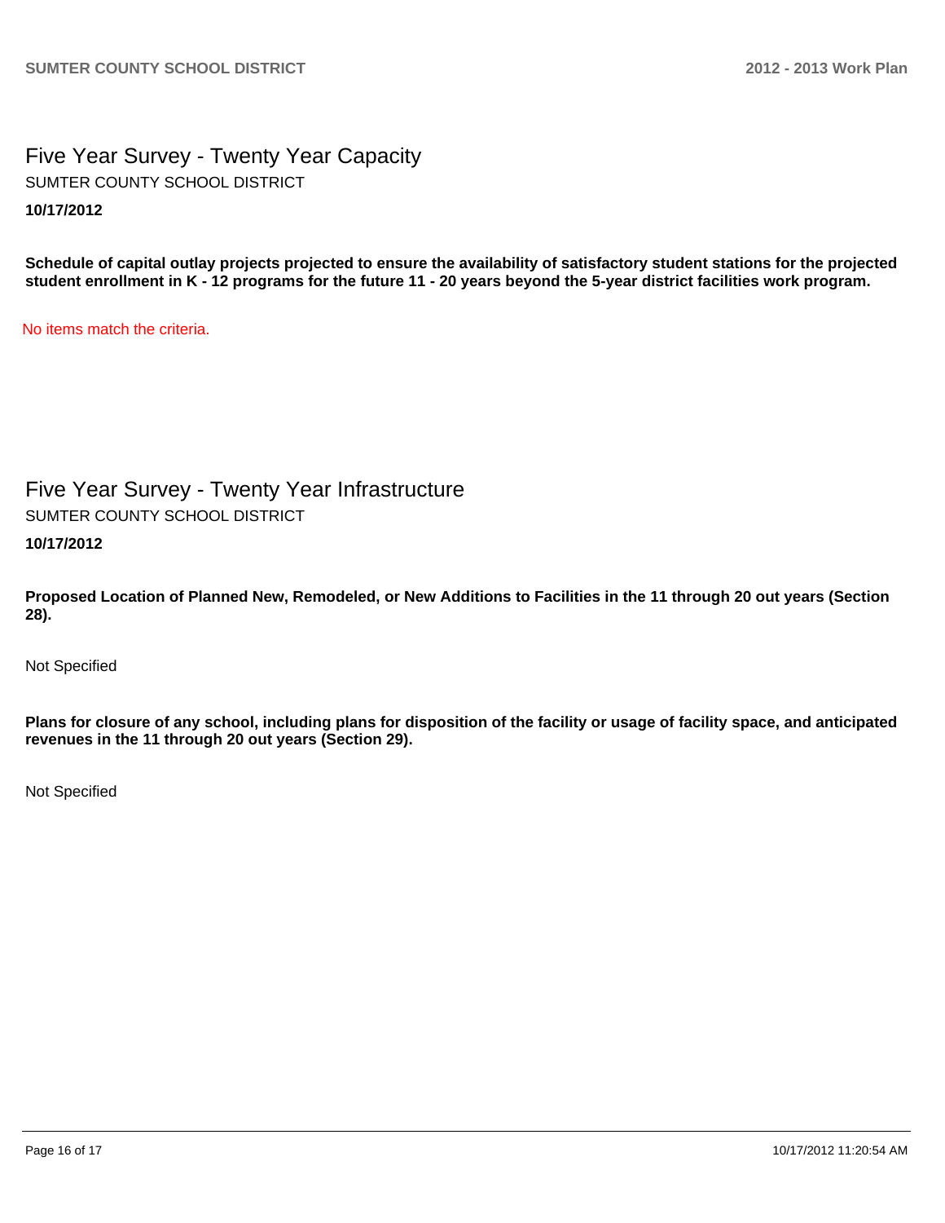Five Year Survey - Twenty Year Capacity **10/17/2012** SUMTER COUNTY SCHOOL DISTRICT

**Schedule of capital outlay projects projected to ensure the availability of satisfactory student stations for the projected student enrollment in K - 12 programs for the future 11 - 20 years beyond the 5-year district facilities work program.**

No items match the criteria.

Five Year Survey - Twenty Year Infrastructure **10/17/2012** SUMTER COUNTY SCHOOL DISTRICT

**Proposed Location of Planned New, Remodeled, or New Additions to Facilities in the 11 through 20 out years (Section 28).**

Not Specified

**Plans for closure of any school, including plans for disposition of the facility or usage of facility space, and anticipated revenues in the 11 through 20 out years (Section 29).**

Not Specified